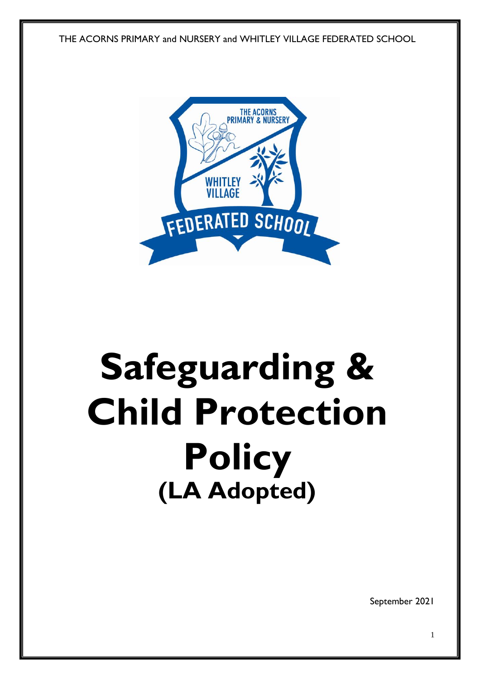THE ACORNS PRIMARY and NURSERY and WHITLEY VILLAGE FEDERATED SCHOOL



# **Safeguarding & Child Protection Policy (LA Adopted)**

September 2021

1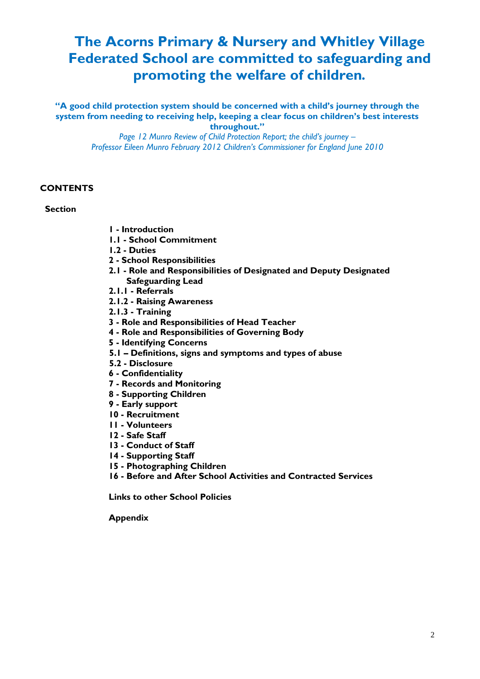# **The Acorns Primary & Nursery and Whitley Village Federated School are committed to safeguarding and promoting the welfare of children***.*

**"A good child protection system should be concerned with a child's journey through the system from needing to receiving help, keeping a clear focus on children's best interests throughout."**

> *Page 12 Munro Review of Child Protection Report; the child's journey – Professor Eileen Munro February 2012 Children's Commissioner for England June 2010*

# **CONTENTS**

#### **Section**

- **1 - Introduction**
- **1.1 - School Commitment**
- **1.2 - Duties**
- **2 - School Responsibilities**
- **2.1 - Role and Responsibilities of Designated and Deputy Designated Safeguarding Lead**
- **2.1.1 - Referrals**
- **2.1.2 - Raising Awareness**
- **2.1.3 - Training**
- **3 - Role and Responsibilities of Head Teacher**
- **4 - Role and Responsibilities of Governing Body**
- **5 - Identifying Concerns**
- **5.1 – Definitions, signs and symptoms and types of abuse**
- **5.2 - Disclosure**
- **6 - Confidentiality**
- **7 - Records and Monitoring**
- **8 - Supporting Children**
- **9 - Early support**
- **10 - Recruitment**
- **11 - Volunteers**
- **12 - Safe Staff**
- **13 - Conduct of Staff**
- **14 - Supporting Staff**
- **15 - Photographing Children**
- **16 - Before and After School Activities and Contracted Services**

**Links to other School Policies** 

**Appendix**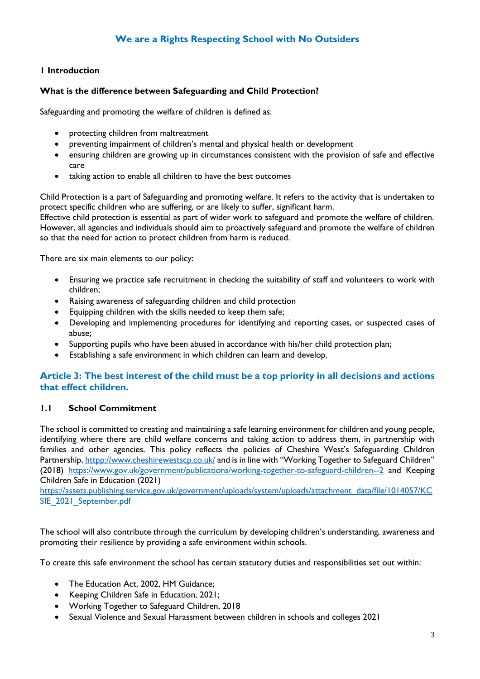# **1 Introduction**

#### **What is the difference between Safeguarding and Child Protection?**

Safeguarding and promoting the welfare of children is defined as:

- protecting children from maltreatment
- preventing impairment of children's mental and physical health or development
- ensuring children are growing up in circumstances consistent with the provision of safe and effective care
- taking action to enable all children to have the best outcomes

Child Protection is a part of Safeguarding and promoting welfare. It refers to the activity that is undertaken to protect specific children who are suffering, or are likely to suffer, significant harm.

Effective child protection is essential as part of wider work to safeguard and promote the welfare of children. However, all agencies and individuals should aim to proactively safeguard and promote the welfare of children so that the need for action to protect children from harm is reduced.

There are six main elements to our policy:

- Ensuring we practice safe recruitment in checking the suitability of staff and volunteers to work with children;
- Raising awareness of safeguarding children and child protection
- Equipping children with the skills needed to keep them safe;
- Developing and implementing procedures for identifying and reporting cases, or suspected cases of abuse;
- Supporting pupils who have been abused in accordance with his/her child protection plan;
- Establishing a safe environment in which children can learn and develop.

# **Article 3: The best interest of the child must be a top priority in all decisions and actions that effect children.**

#### **1.1 School Commitment**

The school is committed to creating and maintaining a safe learning environment for children and young people, identifying where there are child welfare concerns and taking action to address them, in partnership with families and other agencies. This policy reflects the policies of Cheshire West's Safeguarding Children Partnership[, httpp://www.cheshirewestscp.co.uk/](http://www.cheshirewestlscb.org.uk/) and is in line with "Working Together to Safeguard Children" (2018) <https://www.gov.uk/government/publications/working-together-to-safeguard-children--2> and Keeping Children Safe in Education (2021)

[https://assets.publishing.service.gov.uk/government/uploads/system/uploads/attachment\\_data/file/1014057/KC](https://assets.publishing.service.gov.uk/government/uploads/system/uploads/attachment_data/file/1014057/KCSIE_2021_September.pdf) [SIE\\_2021\\_September.pdf](https://assets.publishing.service.gov.uk/government/uploads/system/uploads/attachment_data/file/1014057/KCSIE_2021_September.pdf)

The school will also contribute through the curriculum by developing children's understanding, awareness and promoting their resilience by providing a safe environment within schools.

To create this safe environment the school has certain statutory duties and responsibilities set out within:

- The Education Act, 2002, HM Guidance;
- Keeping Children Safe in Education, 2021;
- Working Together to Safeguard Children, 2018
- Sexual Violence and Sexual Harassment between children in schools and colleges 2021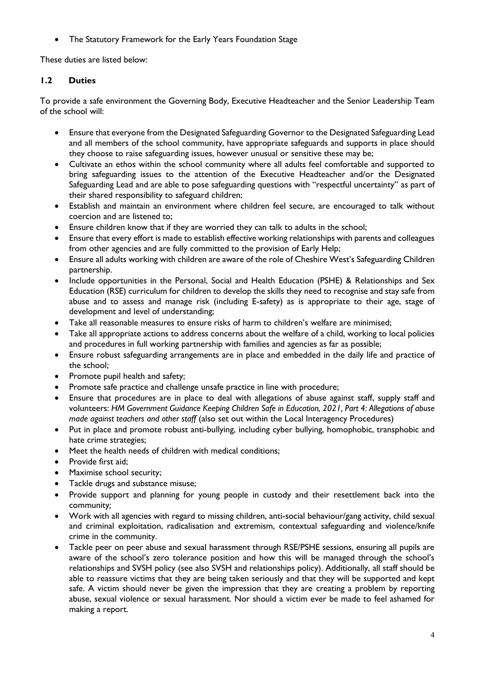The Statutory Framework for the Early Years Foundation Stage

These duties are listed below:

# **1.2 Duties**

To provide a safe environment the Governing Body, Executive Headteacher and the Senior Leadership Team of the school will:

- Ensure that everyone from the Designated Safeguarding Governor to the Designated Safeguarding Lead and all members of the school community, have appropriate safeguards and supports in place should they choose to raise safeguarding issues, however unusual or sensitive these may be;
- Cultivate an ethos within the school community where all adults feel comfortable and supported to bring safeguarding issues to the attention of the Executive Headteacher and/or the Designated Safeguarding Lead and are able to pose safeguarding questions with "respectful uncertainty" as part of their shared responsibility to safeguard children;
- Establish and maintain an environment where children feel secure, are encouraged to talk without coercion and are listened to;
- Ensure children know that if they are worried they can talk to adults in the school;
- Ensure that every effort is made to establish effective working relationships with parents and colleagues from other agencies and are fully committed to the provision of Early Help;
- Ensure all adults working with children are aware of the role of Cheshire West's Safeguarding Children partnership.
- Include opportunities in the Personal, Social and Health Education (PSHE) & Relationships and Sex Education (RSE) curriculum for children to develop the skills they need to recognise and stay safe from abuse and to assess and manage risk (including E-safety) as is appropriate to their age, stage of development and level of understanding;
- Take all reasonable measures to ensure risks of harm to children's welfare are minimised;
- Take all appropriate actions to address concerns about the welfare of a child, working to local policies and procedures in full working partnership with families and agencies as far as possible;
- Ensure robust safeguarding arrangements are in place and embedded in the daily life and practice of the school;
- Promote pupil health and safety;
- Promote safe practice and challenge unsafe practice in line with procedure;
- Ensure that procedures are in place to deal with allegations of abuse against staff, supply staff and volunteers: *HM Government Guidance Keeping Children Safe in Education, 2021, Part 4: Allegations of abuse made against teachers and other staff* (also set out within the Local Interagency Procedures)
- Put in place and promote robust anti-bullying, including cyber bullying, homophobic, transphobic and hate crime strategies;
- Meet the health needs of children with medical conditions;
- Provide first aid;
- Maximise school security;
- Tackle drugs and substance misuse;
- Provide support and planning for young people in custody and their resettlement back into the community*;*
- Work with all agencies with regard to missing children, anti-social behaviour/gang activity, child sexual and criminal exploitation, radicalisation and extremism, contextual safeguarding and violence/knife crime in the community.
- Tackle peer on peer abuse and sexual harassment through RSE/PSHE sessions, ensuring all pupils are aware of the school's zero tolerance position and how this will be managed through the school's relationships and SVSH policy (see also SVSH and relationships policy). Additionally, all staff should be able to reassure victims that they are being taken seriously and that they will be supported and kept safe. A victim should never be given the impression that they are creating a problem by reporting abuse, sexual violence or sexual harassment. Nor should a victim ever be made to feel ashamed for making a report.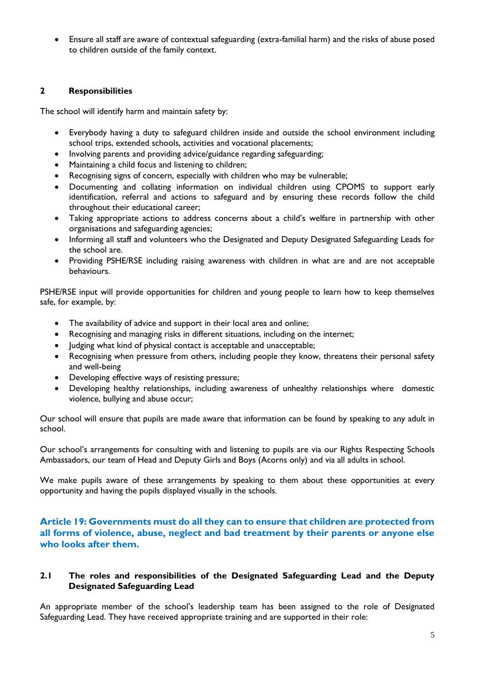Ensure all staff are aware of contextual safeguarding (extra-familial harm) and the risks of abuse posed to children outside of the family context.

# **2 Responsibilities**

The school will identify harm and maintain safety by:

- Everybody having a duty to safeguard children inside and outside the school environment including school trips, extended schools, activities and vocational placements;
- Involving parents and providing advice/guidance regarding safeguarding;
- Maintaining a child focus and listening to children;
- Recognising signs of concern, especially with children who may be vulnerable;
- Documenting and collating information on individual children using CPOMS to support early identification, referral and actions to safeguard and by ensuring these records follow the child throughout their educational career;
- Taking appropriate actions to address concerns about a child's welfare in partnership with other organisations and safeguarding agencies;
- Informing all staff and volunteers who the Designated and Deputy Designated Safeguarding Leads for the school are.
- Providing PSHE/RSE including raising awareness with children in what are and are not acceptable behaviours.

PSHE/RSE input will provide opportunities for children and young people to learn how to keep themselves safe, for example, by:

- The availability of advice and support in their local area and online;
- Recognising and managing risks in different situations, including on the internet;
- Judging what kind of physical contact is acceptable and unacceptable;
- Recognising when pressure from others, including people they know, threatens their personal safety and well-being
- Developing effective ways of resisting pressure;
- Developing healthy relationships, including awareness of unhealthy relationships where domestic violence, bullying and abuse occur;

Our school will ensure that pupils are made aware that information can be found by speaking to any adult in school.

Our school's arrangements for consulting with and listening to pupils are via our Rights Respecting Schools Ambassadors, our team of Head and Deputy Girls and Boys (Acorns only) and via all adults in school.

We make pupils aware of these arrangements by speaking to them about these opportunities at every opportunity and having the pupils displayed visually in the schools.

# **Article 19: Governments must do all they can to ensure that children are protected from all forms of violence, abuse, neglect and bad treatment by their parents or anyone else who looks after them.**

# **2.1 The roles and responsibilities of the Designated Safeguarding Lead and the Deputy Designated Safeguarding Lead**

An appropriate member of the school's leadership team has been assigned to the role of Designated Safeguarding Lead. They have received appropriate training and are supported in their role: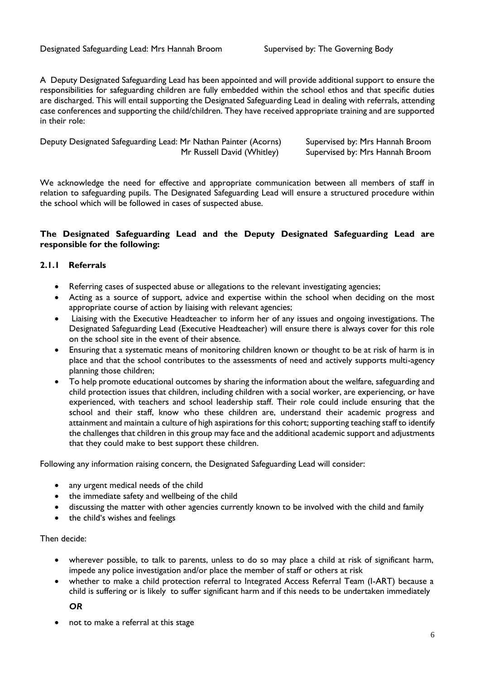A Deputy Designated Safeguarding Lead has been appointed and will provide additional support to ensure the responsibilities for safeguarding children are fully embedded within the school ethos and that specific duties are discharged. This will entail supporting the Designated Safeguarding Lead in dealing with referrals, attending case conferences and supporting the child/children. They have received appropriate training and are supported in their role:

| Deputy Designated Safeguarding Lead: Mr Nathan Painter (Acorns) |                            | Supervised by: Mrs Hannah Broom |
|-----------------------------------------------------------------|----------------------------|---------------------------------|
|                                                                 | Mr Russell David (Whitley) | Supervised by: Mrs Hannah Broom |

We acknowledge the need for effective and appropriate communication between all members of staff in relation to safeguarding pupils. The Designated Safeguarding Lead will ensure a structured procedure within the school which will be followed in cases of suspected abuse.

#### **The Designated Safeguarding Lead and the Deputy Designated Safeguarding Lead are responsible for the following:**

#### **2.1.1 Referrals**

- Referring cases of suspected abuse or allegations to the relevant investigating agencies;
- Acting as a source of support, advice and expertise within the school when deciding on the most appropriate course of action by liaising with relevant agencies;
- Liaising with the Executive Headteacher to inform her of any issues and ongoing investigations. The Designated Safeguarding Lead (Executive Headteacher) will ensure there is always cover for this role on the school site in the event of their absence.
- Ensuring that a systematic means of monitoring children known or thought to be at risk of harm is in place and that the school contributes to the assessments of need and actively supports multi-agency planning those children;
- To help promote educational outcomes by sharing the information about the welfare, safeguarding and child protection issues that children, including children with a social worker, are experiencing, or have experienced, with teachers and school leadership staff. Their role could include ensuring that the school and their staff, know who these children are, understand their academic progress and attainment and maintain a culture of high aspirations for this cohort; supporting teaching staff to identify the challenges that children in this group may face and the additional academic support and adjustments that they could make to best support these children.

Following any information raising concern, the Designated Safeguarding Lead will consider:

- any urgent medical needs of the child
- the immediate safety and wellbeing of the child
- discussing the matter with other agencies currently known to be involved with the child and family
- the child's wishes and feelings

#### Then decide:

- wherever possible, to talk to parents, unless to do so may place a child at risk of significant harm, impede any police investigation and/or place the member of staff or others at risk
- whether to make a child protection referral to Integrated Access Referral Team (I-ART) because a child is suffering or is likely to suffer significant harm and if this needs to be undertaken immediately

*OR*

not to make a referral at this stage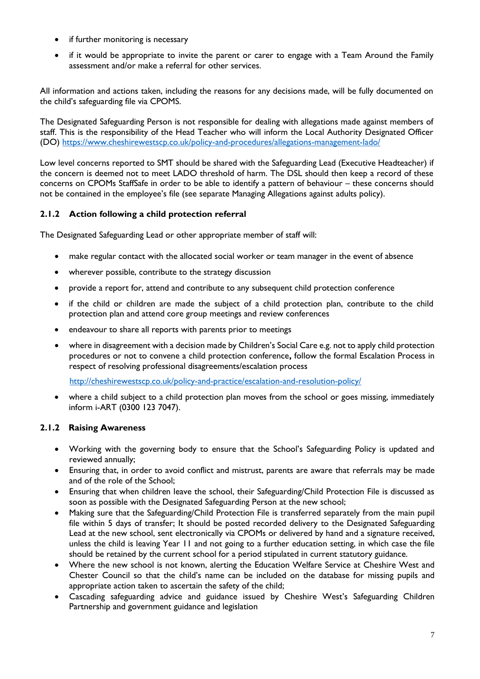- if further monitoring is necessary
- if it would be appropriate to invite the parent or carer to engage with a Team Around the Family assessment and/or make a referral for other services.

All information and actions taken, including the reasons for any decisions made, will be fully documented on the child's safeguarding file via CPOMS.

The Designated Safeguarding Person is not responsible for dealing with allegations made against members of staff. This is the responsibility of the Head Teacher who will inform the Local Authority Designated Officer (DO)<https://www.cheshirewestscp.co.uk/policy-and-procedures/allegations-management-lado/>

Low level concerns reported to SMT should be shared with the Safeguarding Lead (Executive Headteacher) if the concern is deemed not to meet LADO threshold of harm. The DSL should then keep a record of these concerns on CPOMs StaffSafe in order to be able to identify a pattern of behaviour – these concerns should not be contained in the employee's file (see separate Managing Allegations against adults policy).

# **2.1.2 Action following a child protection referral**

The Designated Safeguarding Lead or other appropriate member of staff will:

- make regular contact with the allocated social worker or team manager in the event of absence
- wherever possible, contribute to the strategy discussion
- provide a report for, attend and contribute to any subsequent child protection conference
- if the child or children are made the subject of a child protection plan, contribute to the child protection plan and attend core group meetings and review conferences
- endeavour to share all reports with parents prior to meetings
- where in disagreement with a decision made by Children's Social Care e.g. not to apply child protection procedures or not to convene a child protection conference**,** follow the formal Escalation Process in respect of resolving professional disagreements/escalation process

<http://cheshirewestscp.co.uk/policy-and-practice/escalation-and-resolution-policy/>

 where a child subject to a child protection plan moves from the school or goes missing, immediately inform i-ART (0300 123 7047).

#### **2.1.2 Raising Awareness**

- Working with the governing body to ensure that the School's Safeguarding Policy is updated and reviewed annually;
- Ensuring that, in order to avoid conflict and mistrust, parents are aware that referrals may be made and of the role of the School;
- Ensuring that when children leave the school, their Safeguarding/Child Protection File is discussed as soon as possible with the Designated Safeguarding Person at the new school;
- Making sure that the Safeguarding/Child Protection File is transferred separately from the main pupil file within 5 days of transfer; It should be posted recorded delivery to the Designated Safeguarding Lead at the new school, sent electronically via CPOMs or delivered by hand and a signature received, unless the child is leaving Year 11 and not going to a further education setting, in which case the file should be retained by the current school for a period stipulated in current statutory guidance.
- Where the new school is not known, alerting the Education Welfare Service at Cheshire West and Chester Council so that the child's name can be included on the database for missing pupils and appropriate action taken to ascertain the safety of the child;
- Cascading safeguarding advice and guidance issued by Cheshire West's Safeguarding Children Partnership and government guidance and legislation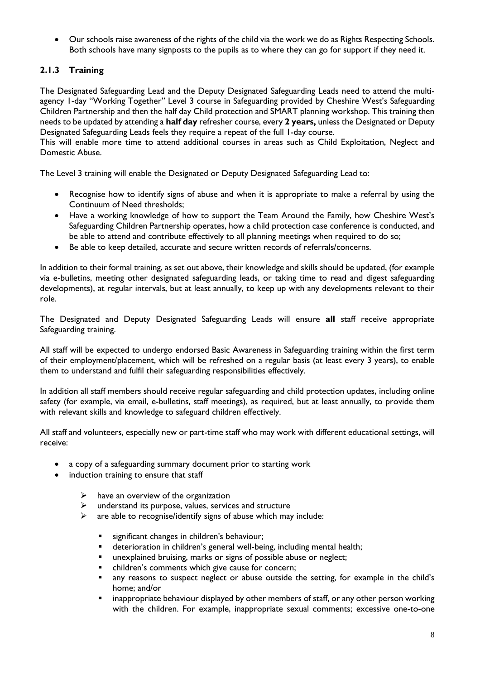Our schools raise awareness of the rights of the child via the work we do as Rights Respecting Schools. Both schools have many signposts to the pupils as to where they can go for support if they need it.

# **2.1.3 Training**

The Designated Safeguarding Lead and the Deputy Designated Safeguarding Leads need to attend the multiagency 1-day "Working Together" Level 3 course in Safeguarding provided by Cheshire West's Safeguarding Children Partnership and then the half day Child protection and SMART planning workshop. This training then needs to be updated by attending a **half day** refresher course, every **2 years,** unless the Designated or Deputy Designated Safeguarding Leads feels they require a repeat of the full 1-day course.

This will enable more time to attend additional courses in areas such as Child Exploitation, Neglect and Domestic Abuse.

The Level 3 training will enable the Designated or Deputy Designated Safeguarding Lead to:

- Recognise how to identify signs of abuse and when it is appropriate to make a referral by using the Continuum of Need thresholds;
- Have a working knowledge of how to support the Team Around the Family, how Cheshire West's Safeguarding Children Partnership operates, how a child protection case conference is conducted, and be able to attend and contribute effectively to all planning meetings when required to do so;
- Be able to keep detailed, accurate and secure written records of referrals/concerns.

In addition to their formal training, as set out above, their knowledge and skills should be updated, (for example via e-bulletins, meeting other designated safeguarding leads, or taking time to read and digest safeguarding developments), at regular intervals, but at least annually, to keep up with any developments relevant to their role.

The Designated and Deputy Designated Safeguarding Leads will ensure **all** staff receive appropriate Safeguarding training.

All staff will be expected to undergo endorsed Basic Awareness in Safeguarding training within the first term of their employment/placement, which will be refreshed on a regular basis (at least every 3 years), to enable them to understand and fulfil their safeguarding responsibilities effectively.

In addition all staff members should receive regular safeguarding and child protection updates, including online safety (for example, via email, e-bulletins, staff meetings), as required, but at least annually, to provide them with relevant skills and knowledge to safeguard children effectively.

All staff and volunteers, especially new or part-time staff who may work with different educational settings, will receive:

- a copy of a safeguarding summary document prior to starting work
- induction training to ensure that staff
	- $\triangleright$  have an overview of the organization
	- $\triangleright$  understand its purpose, values, services and structure
	- $\triangleright$  are able to recognise/identify signs of abuse which may include:
		- significant changes in children's behaviour;
		- **deterioration in children's general well-being, including mental health;**
		- **unexplained bruising, marks or signs of possible abuse or neglect;**
		- children's comments which give cause for concern;
		- **a** any reasons to suspect neglect or abuse outside the setting, for example in the child's home; and/or
		- **EXED 1** inappropriate behaviour displayed by other members of staff, or any other person working with the children. For example, inappropriate sexual comments; excessive one-to-one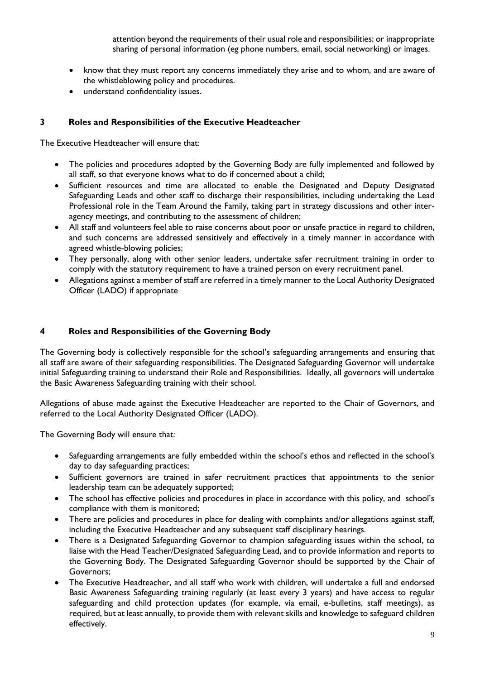attention beyond the requirements of their usual role and responsibilities; or inappropriate sharing of personal information (eg phone numbers, email, social networking) or images.

- know that they must report any concerns immediately they arise and to whom, and are aware of the whistleblowing policy and procedures.
- understand confidentiality issues.

#### **3 Roles and Responsibilities of the Executive Headteacher**

The Executive Headteacher will ensure that:

- The policies and procedures adopted by the Governing Body are fully implemented and followed by all staff, so that everyone knows what to do if concerned about a child;
- Sufficient resources and time are allocated to enable the Designated and Deputy Designated Safeguarding Leads and other staff to discharge their responsibilities, including undertaking the Lead Professional role in the Team Around the Family, taking part in strategy discussions and other interagency meetings, and contributing to the assessment of children;
- All staff and volunteers feel able to raise concerns about poor or unsafe practice in regard to children, and such concerns are addressed sensitively and effectively in a timely manner in accordance with agreed whistle-blowing policies;
- They personally, along with other senior leaders, undertake safer recruitment training in order to comply with the statutory requirement to have a trained person on every recruitment panel.
- Allegations against a member of staff are referred in a timely manner to the Local Authority Designated Officer (LADO) if appropriate

#### **4 Roles and Responsibilities of the Governing Body**

The Governing body is collectively responsible for the school's safeguarding arrangements and ensuring that all staff are aware of their safeguarding responsibilities. The Designated Safeguarding Governor will undertake initial Safeguarding training to understand their Role and Responsibilities. Ideally, all governors will undertake the Basic Awareness Safeguarding training with their school.

Allegations of abuse made against the Executive Headteacher are reported to the Chair of Governors, and referred to the Local Authority Designated Officer (LADO).

The Governing Body will ensure that:

- Safeguarding arrangements are fully embedded within the school's ethos and reflected in the school's day to day safeguarding practices;
- Sufficient governors are trained in safer recruitment practices that appointments to the senior leadership team can be adequately supported;
- The school has effective policies and procedures in place in accordance with this policy, and school's compliance with them is monitored;
- There are policies and procedures in place for dealing with complaints and/or allegations against staff, including the Executive Headteacher and any subsequent staff disciplinary hearings.
- There is a Designated Safeguarding Governor to champion safeguarding issues within the school, to liaise with the Head Teacher/Designated Safeguarding Lead, and to provide information and reports to the Governing Body. The Designated Safeguarding Governor should be supported by the Chair of Governors;
- The Executive Headteacher, and all staff who work with children, will undertake a full and endorsed Basic Awareness Safeguarding training regularly (at least every 3 years) and have access to regular safeguarding and child protection updates (for example, via email, e-bulletins, staff meetings), as required, but at least annually, to provide them with relevant skills and knowledge to safeguard children effectively.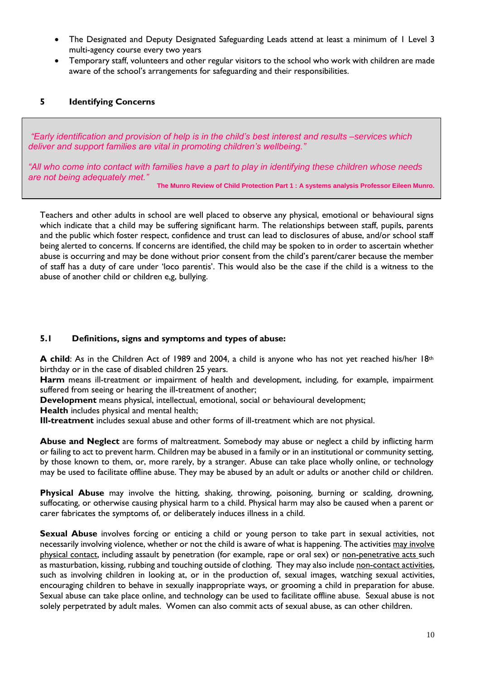- The Designated and Deputy Designated Safeguarding Leads attend at least a minimum of 1 Level 3 multi-agency course every two years
- Temporary staff, volunteers and other regular visitors to the school who work with children are made aware of the school's arrangements for safeguarding and their responsibilities.

# **5 Identifying Concerns**

*"Early identification and provision of help is in the child's best interest and results –services which deliver and support families are vital in promoting children's wellbeing."*

*"All who come into contact with families have a part to play in identifying these children whose needs are not being adequately met."*

**The Munro Review of Child Protection Part 1 : A systems analysis Professor Eileen Munro.**

Teachers and other adults in school are well placed to observe any physical, emotional or behavioural signs which indicate that a child may be suffering significant harm. The relationships between staff, pupils, parents and the public which foster respect, confidence and trust can lead to disclosures of abuse, and/or school staff being alerted to concerns. If concerns are identified, the child may be spoken to in order to ascertain whether abuse is occurring and may be done without prior consent from the child's parent/carer because the member of staff has a duty of care under 'loco parentis'. This would also be the case if the child is a witness to the abuse of another child or children e,g, bullying.

#### **5.1 Definitions, signs and symptoms and types of abuse:**

**A child**: As in the Children Act of 1989 and 2004, a child is anyone who has not yet reached his/her 18<sup>th</sup> birthday or in the case of disabled children 25 years.

**Harm** means ill-treatment or impairment of health and development, including, for example, impairment suffered from seeing or hearing the ill-treatment of another;

**Development** means physical, intellectual, emotional, social or behavioural development;

**Health** includes physical and mental health;

**Ill-treatment** includes sexual abuse and other forms of ill-treatment which are not physical.

**Abuse and Neglect** are forms of maltreatment. Somebody may abuse or neglect a child by inflicting harm or failing to act to prevent harm. Children may be abused in a family or in an institutional or community setting, by those known to them, or, more rarely, by a stranger. Abuse can take place wholly online, or technology may be used to facilitate offline abuse. They may be abused by an adult or adults or another child or children.

**Physical Abuse** may involve the hitting, shaking, throwing, poisoning, burning or scalding, drowning, suffocating, or otherwise causing physical harm to a child. Physical harm may also be caused when a parent or carer fabricates the symptoms of, or deliberately induces illness in a child.

**Sexual Abuse** involves forcing or enticing a child or young person to take part in sexual activities, not necessarily involving violence, whether or not the child is aware of what is happening. The activities may involve physical contact, including assault by penetration (for example, rape or oral sex) or non-penetrative acts such as masturbation, kissing, rubbing and touching outside of clothing. They may also include non-contact activities, such as involving children in looking at, or in the production of, sexual images, watching sexual activities, encouraging children to behave in sexually inappropriate ways, or grooming a child in preparation for abuse. Sexual abuse can take place online, and technology can be used to facilitate offline abuse. Sexual abuse is not solely perpetrated by adult males. Women can also commit acts of sexual abuse, as can other children.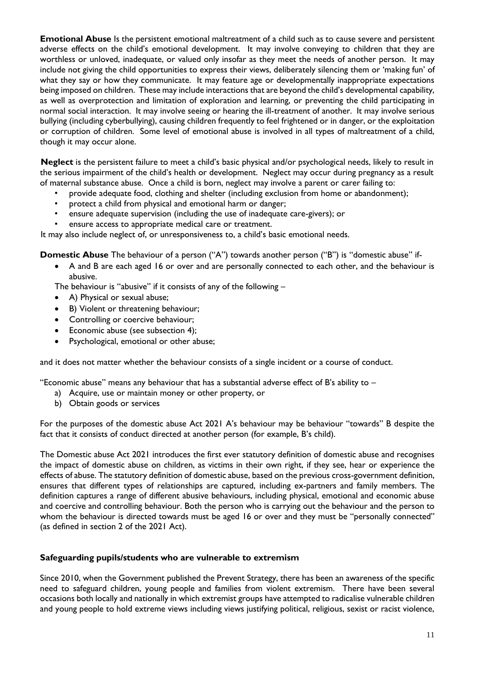**Emotional Abuse** Is the persistent emotional maltreatment of a child such as to cause severe and persistent adverse effects on the child's emotional development. It may involve conveying to children that they are worthless or unloved, inadequate, or valued only insofar as they meet the needs of another person. It may include not giving the child opportunities to express their views, deliberately silencing them or 'making fun' of what they say or how they communicate. It may feature age or developmentally inappropriate expectations being imposed on children. These may include interactions that are beyond the child's developmental capability, as well as overprotection and limitation of exploration and learning, or preventing the child participating in normal social interaction. It may involve seeing or hearing the ill-treatment of another. It may involve serious bullying (including cyberbullying), causing children frequently to feel frightened or in danger, or the exploitation or corruption of children. Some level of emotional abuse is involved in all types of maltreatment of a child, though it may occur alone.

 **Neglect** is the persistent failure to meet a child's basic physical and/or psychological needs, likely to result in the serious impairment of the child's health or development. Neglect may occur during pregnancy as a result of maternal substance abuse. Once a child is born, neglect may involve a parent or carer failing to:

- provide adequate food, clothing and shelter (including exclusion from home or abandonment);
- protect a child from physical and emotional harm or danger;
- ensure adequate supervision (including the use of inadequate care-givers); or
- ensure access to appropriate medical care or treatment.

It may also include neglect of, or unresponsiveness to, a child's basic emotional needs.

**Domestic Abuse** The behaviour of a person ("A") towards another person ("B") is "domestic abuse" if-

 A and B are each aged 16 or over and are personally connected to each other, and the behaviour is abusive.

The behaviour is "abusive" if it consists of any of the following  $-$ 

- A) Physical or sexual abuse;
- B) Violent or threatening behaviour;
- Controlling or coercive behaviour;
- Economic abuse (see subsection 4);
- Psychological, emotional or other abuse;

and it does not matter whether the behaviour consists of a single incident or a course of conduct.

"Economic abuse" means any behaviour that has a substantial adverse effect of B's ability to –

- a) Acquire, use or maintain money or other property, or
- b) Obtain goods or services

For the purposes of the domestic abuse Act 2021 A's behaviour may be behaviour "towards" B despite the fact that it consists of conduct directed at another person (for example, B's child).

The Domestic abuse Act 2021 introduces the first ever statutory definition of domestic abuse and recognises the impact of domestic abuse on children, as victims in their own right, if they see, hear or experience the effects of abuse. The statutory definition of domestic abuse, based on the previous cross-government definition, ensures that different types of relationships are captured, including ex-partners and family members. The definition captures a range of different abusive behaviours, including physical, emotional and economic abuse and coercive and controlling behaviour. Both the person who is carrying out the behaviour and the person to whom the behaviour is directed towards must be aged 16 or over and they must be "personally connected" (as defined in section 2 of the 2021 Act).

#### **Safeguarding pupils/students who are vulnerable to extremism**

Since 2010, when the Government published the Prevent Strategy, there has been an awareness of the specific need to safeguard children, young people and families from violent extremism. There have been several occasions both locally and nationally in which extremist groups have attempted to radicalise vulnerable children and young people to hold extreme views including views justifying political, religious, sexist or racist violence,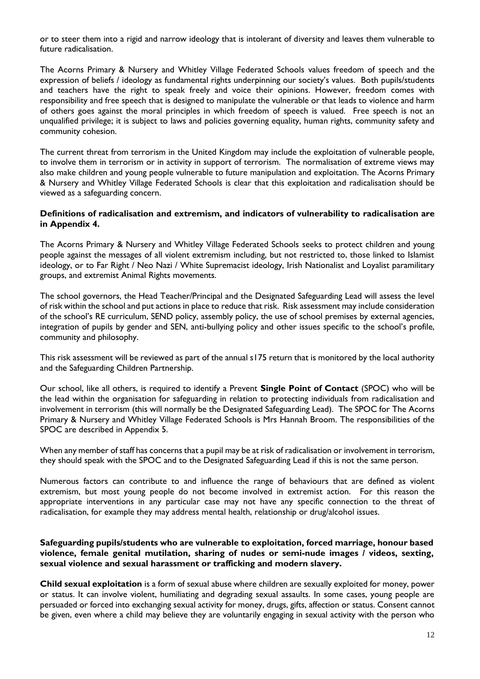or to steer them into a rigid and narrow ideology that is intolerant of diversity and leaves them vulnerable to future radicalisation.

The Acorns Primary & Nursery and Whitley Village Federated Schools values freedom of speech and the expression of beliefs / ideology as fundamental rights underpinning our society's values. Both pupils/students and teachers have the right to speak freely and voice their opinions. However, freedom comes with responsibility and free speech that is designed to manipulate the vulnerable or that leads to violence and harm of others goes against the moral principles in which freedom of speech is valued. Free speech is not an unqualified privilege; it is subject to laws and policies governing equality, human rights, community safety and community cohesion.

The current threat from terrorism in the United Kingdom may include the exploitation of vulnerable people, to involve them in terrorism or in activity in support of terrorism. The normalisation of extreme views may also make children and young people vulnerable to future manipulation and exploitation. The Acorns Primary & Nursery and Whitley Village Federated Schools is clear that this exploitation and radicalisation should be viewed as a safeguarding concern.

#### **Definitions of radicalisation and extremism, and indicators of vulnerability to radicalisation are in Appendix 4.**

The Acorns Primary & Nursery and Whitley Village Federated Schools seeks to protect children and young people against the messages of all violent extremism including, but not restricted to, those linked to Islamist ideology, or to Far Right / Neo Nazi / White Supremacist ideology, Irish Nationalist and Loyalist paramilitary groups, and extremist Animal Rights movements.

The school governors, the Head Teacher/Principal and the Designated Safeguarding Lead will assess the level of risk within the school and put actions in place to reduce that risk. Risk assessment may include consideration of the school's RE curriculum, SEND policy, assembly policy, the use of school premises by external agencies, integration of pupils by gender and SEN, anti-bullying policy and other issues specific to the school's profile, community and philosophy.

This risk assessment will be reviewed as part of the annual s175 return that is monitored by the local authority and the Safeguarding Children Partnership.

Our school, like all others, is required to identify a Prevent **Single Point of Contact** (SPOC) who will be the lead within the organisation for safeguarding in relation to protecting individuals from radicalisation and involvement in terrorism (this will normally be the Designated Safeguarding Lead). The SPOC for The Acorns Primary & Nursery and Whitley Village Federated Schools is Mrs Hannah Broom. The responsibilities of the SPOC are described in Appendix 5.

When any member of staff has concerns that a pupil may be at risk of radicalisation or involvement in terrorism, they should speak with the SPOC and to the Designated Safeguarding Lead if this is not the same person.

Numerous factors can contribute to and influence the range of behaviours that are defined as violent extremism, but most young people do not become involved in extremist action. For this reason the appropriate interventions in any particular case may not have any specific connection to the threat of radicalisation, for example they may address mental health, relationship or drug/alcohol issues.

#### **Safeguarding pupils/students who are vulnerable to exploitation, forced marriage, honour based violence, female genital mutilation, sharing of nudes or semi-nude images / videos, sexting, sexual violence and sexual harassment or trafficking and modern slavery.**

**Child sexual exploitation** is a form of sexual abuse where children are sexually exploited for money, power or status. It can involve violent, humiliating and degrading sexual assaults. In some cases, young people are persuaded or forced into exchanging sexual activity for money, drugs, gifts, affection or status. Consent cannot be given, even where a child may believe they are voluntarily engaging in sexual activity with the person who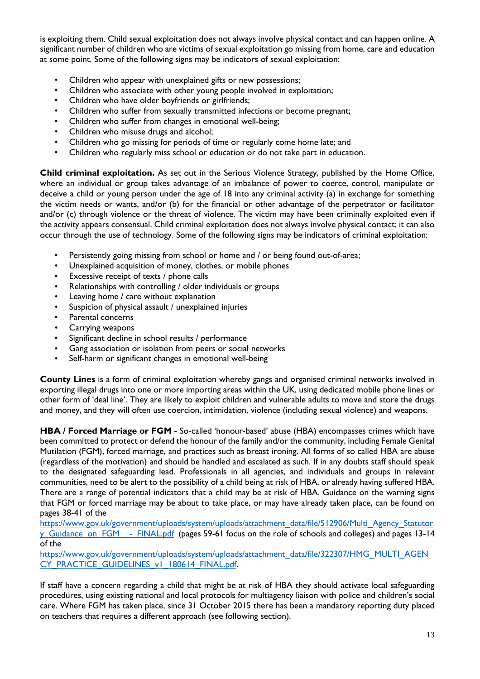is exploiting them. Child sexual exploitation does not always involve physical contact and can happen online. A significant number of children who are victims of sexual exploitation go missing from home, care and education at some point. Some of the following signs may be indicators of sexual exploitation:

- Children who appear with unexplained gifts or new possessions;
- Children who associate with other young people involved in exploitation;
- Children who have older boyfriends or girlfriends;
- Children who suffer from sexually transmitted infections or become pregnant;
- Children who suffer from changes in emotional well-being;
- Children who misuse drugs and alcohol;
- Children who go missing for periods of time or regularly come home late; and
- Children who regularly miss school or education or do not take part in education.

**Child criminal exploitation.** As set out in the Serious Violence Strategy, published by the Home Office, where an individual or group takes advantage of an imbalance of power to coerce, control, manipulate or deceive a child or young person under the age of 18 into any criminal activity (a) in exchange for something the victim needs or wants, and/or (b) for the financial or other advantage of the perpetrator or facilitator and/or (c) through violence or the threat of violence. The victim may have been criminally exploited even if the activity appears consensual. Child criminal exploitation does not always involve physical contact; it can also occur through the use of technology. Some of the following signs may be indicators of criminal exploitation:

- Persistently going missing from school or home and / or being found out-of-area;
- Unexplained acquisition of money, clothes, or mobile phones
- Excessive receipt of texts / phone calls
- Relationships with controlling / older individuals or groups
- Leaving home / care without explanation
- Suspicion of physical assault / unexplained injuries
- Parental concerns
- Carrying weapons
- Significant decline in school results / performance
- Gang association or isolation from peers or social networks
- Self-harm or significant changes in emotional well-being

**County Lines** is a form of criminal exploitation whereby gangs and organised criminal networks involved in exporting illegal drugs into one or more importing areas within the UK, using dedicated mobile phone lines or other form of 'deal line'. They are likely to exploit children and vulnerable adults to move and store the drugs and money, and they will often use coercion, intimidation, violence (including sexual violence) and weapons.

**HBA / Forced Marriage or FGM -** So-called 'honour-based' abuse (HBA) encompasses crimes which have been committed to protect or defend the honour of the family and/or the community, including Female Genital Mutilation (FGM), forced marriage, and practices such as breast ironing. All forms of so called HBA are abuse (regardless of the motivation) and should be handled and escalated as such. If in any doubts staff should speak to the designated safeguarding lead. Professionals in all agencies, and individuals and groups in relevant communities, need to be alert to the possibility of a child being at risk of HBA, or already having suffered HBA. There are a range of potential indicators that a child may be at risk of HBA. Guidance on the warning signs that FGM or forced marriage may be about to take place, or may have already taken place, can be found on pages 38-41 of the

[https://www.gov.uk/government/uploads/system/uploads/attachment\\_data/file/512906/Multi\\_Agency\\_Statutor](https://www.gov.uk/government/uploads/system/uploads/attachment_data/file/512906/Multi_Agency_Statutory_Guidance_on_FGM__-_FINAL.pdf) y Guidance on FGM - FINAL.pdf (pages 59-61 focus on the role of schools and colleges) and pages 13-14 of the

[https://www.gov.uk/government/uploads/system/uploads/attachment\\_data/file/322307/HMG\\_MULTI\\_AGEN](https://www.gov.uk/government/uploads/system/uploads/attachment_data/file/322307/HMG_MULTI_AGENCY_PRACTICE_GUIDELINES_v1_180614_FINAL.pdf) [CY\\_PRACTICE\\_GUIDELINES\\_v1\\_180614\\_FINAL.pdf.](https://www.gov.uk/government/uploads/system/uploads/attachment_data/file/322307/HMG_MULTI_AGENCY_PRACTICE_GUIDELINES_v1_180614_FINAL.pdf)

If staff have a concern regarding a child that might be at risk of HBA they should activate local safeguarding procedures, using existing national and local protocols for multiagency liaison with police and children's social care. Where FGM has taken place, since 31 October 2015 there has been a mandatory reporting duty placed on teachers that requires a different approach (see following section).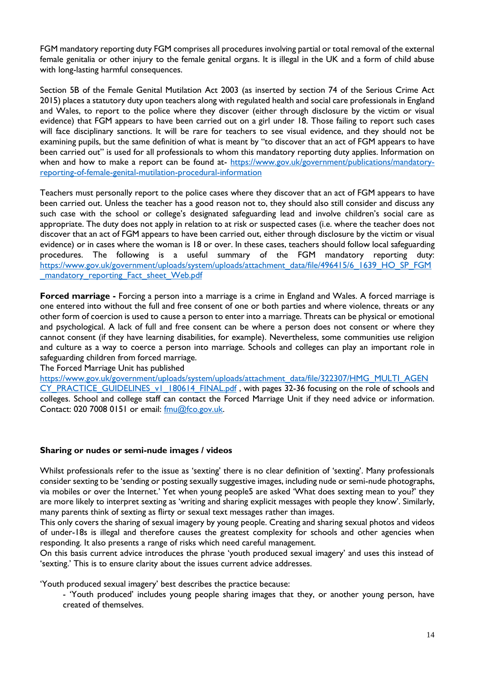FGM mandatory reporting duty FGM comprises all procedures involving partial or total removal of the external female genitalia or other injury to the female genital organs. It is illegal in the UK and a form of child abuse with long-lasting harmful consequences.

Section 5B of the Female Genital Mutilation Act 2003 (as inserted by section 74 of the Serious Crime Act 2015) places a statutory duty upon teachers along with regulated health and social care professionals in England and Wales, to report to the police where they discover (either through disclosure by the victim or visual evidence) that FGM appears to have been carried out on a girl under 18. Those failing to report such cases will face disciplinary sanctions. It will be rare for teachers to see visual evidence, and they should not be examining pupils, but the same definition of what is meant by "to discover that an act of FGM appears to have been carried out" is used for all professionals to whom this mandatory reporting duty applies. Information on when and how to make a report can be found at- [https://www.gov.uk/government/publications/mandatory](https://www.gov.uk/government/publications/mandatory-reporting-of-female-genital-mutilation-procedural-information)[reporting-of-female-genital-mutilation-procedural-information](https://www.gov.uk/government/publications/mandatory-reporting-of-female-genital-mutilation-procedural-information)

Teachers must personally report to the police cases where they discover that an act of FGM appears to have been carried out. Unless the teacher has a good reason not to, they should also still consider and discuss any such case with the school or college's designated safeguarding lead and involve children's social care as appropriate. The duty does not apply in relation to at risk or suspected cases (i.e. where the teacher does not discover that an act of FGM appears to have been carried out, either through disclosure by the victim or visual evidence) or in cases where the woman is 18 or over. In these cases, teachers should follow local safeguarding procedures. The following is a useful summary of the FGM mandatory reporting duty: [https://www.gov.uk/government/uploads/system/uploads/attachment\\_data/file/496415/6\\_1639\\_HO\\_SP\\_FGM](https://www.gov.uk/government/uploads/system/uploads/attachment_data/file/496415/6_1639_HO_SP_FGM_mandatory_reporting_Fact_sheet_Web.pdf) [\\_mandatory\\_reporting\\_Fact\\_sheet\\_Web.pdf](https://www.gov.uk/government/uploads/system/uploads/attachment_data/file/496415/6_1639_HO_SP_FGM_mandatory_reporting_Fact_sheet_Web.pdf)

**Forced marriage -** Forcing a person into a marriage is a crime in England and Wales. A forced marriage is one entered into without the full and free consent of one or both parties and where violence, threats or any other form of coercion is used to cause a person to enter into a marriage. Threats can be physical or emotional and psychological. A lack of full and free consent can be where a person does not consent or where they cannot consent (if they have learning disabilities, for example). Nevertheless, some communities use religion and culture as a way to coerce a person into marriage. Schools and colleges can play an important role in safeguarding children from forced marriage.

The Forced Marriage Unit has published

[https://www.gov.uk/government/uploads/system/uploads/attachment\\_data/file/322307/HMG\\_MULTI\\_AGEN](https://www.gov.uk/government/uploads/system/uploads/attachment_data/file/322307/HMG_MULTI_AGENCY_PRACTICE_GUIDELINES_v1_180614_FINAL.pdf) [CY\\_PRACTICE\\_GUIDELINES\\_v1\\_180614\\_FINAL.pdf](https://www.gov.uk/government/uploads/system/uploads/attachment_data/file/322307/HMG_MULTI_AGENCY_PRACTICE_GUIDELINES_v1_180614_FINAL.pdf), with pages 32-36 focusing on the role of schools and colleges. School and college staff can contact the Forced Marriage Unit if they need advice or information. Contact: 020 7008 0151 or email: [fmu@fco.gov.uk.](mailto:fmu@fco.gov.uk)

#### **Sharing or nudes or semi-nude images / videos**

Whilst professionals refer to the issue as 'sexting' there is no clear definition of 'sexting'. Many professionals consider sexting to be 'sending or posting sexually suggestive images, including nude or semi-nude photographs, via mobiles or over the Internet.' Yet when young people5 are asked 'What does sexting mean to you?' they are more likely to interpret sexting as 'writing and sharing explicit messages with people they know'. Similarly, many parents think of sexting as flirty or sexual text messages rather than images.

This only covers the sharing of sexual imagery by young people. Creating and sharing sexual photos and videos of under-18s is illegal and therefore causes the greatest complexity for schools and other agencies when responding. It also presents a range of risks which need careful management.

On this basis current advice introduces the phrase 'youth produced sexual imagery' and uses this instead of 'sexting.' This is to ensure clarity about the issues current advice addresses.

'Youth produced sexual imagery' best describes the practice because:

- 'Youth produced' includes young people sharing images that they, or another young person, have created of themselves.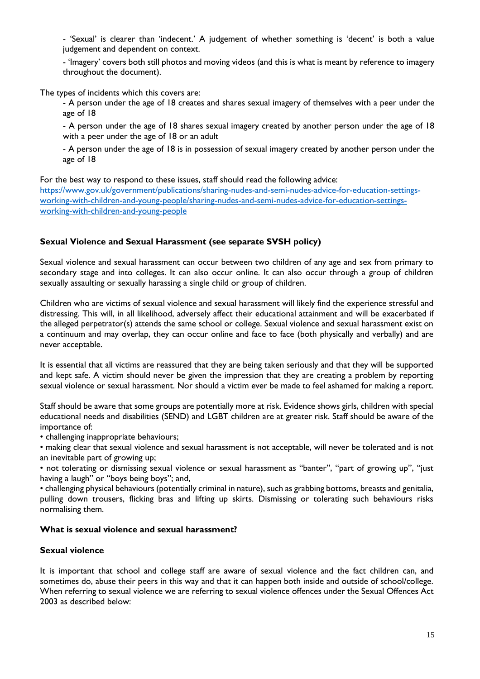- 'Sexual' is clearer than 'indecent.' A judgement of whether something is 'decent' is both a value judgement and dependent on context.

- 'Imagery' covers both still photos and moving videos (and this is what is meant by reference to imagery throughout the document).

The types of incidents which this covers are:

- A person under the age of 18 creates and shares sexual imagery of themselves with a peer under the age of 18

- A person under the age of 18 shares sexual imagery created by another person under the age of 18 with a peer under the age of 18 or an adult

- A person under the age of 18 is in possession of sexual imagery created by another person under the age of 18

For the best way to respond to these issues, staff should read the following advice:

[https://www.gov.uk/government/publications/sharing-nudes-and-semi-nudes-advice-for-education-settings](https://www.gov.uk/government/publications/sharing-nudes-and-semi-nudes-advice-for-education-settings-working-with-children-and-young-people/sharing-nudes-and-semi-nudes-advice-for-education-settings-working-with-children-and-young-people)[working-with-children-and-young-people/sharing-nudes-and-semi-nudes-advice-for-education-settings](https://www.gov.uk/government/publications/sharing-nudes-and-semi-nudes-advice-for-education-settings-working-with-children-and-young-people/sharing-nudes-and-semi-nudes-advice-for-education-settings-working-with-children-and-young-people)[working-with-children-and-young-people](https://www.gov.uk/government/publications/sharing-nudes-and-semi-nudes-advice-for-education-settings-working-with-children-and-young-people/sharing-nudes-and-semi-nudes-advice-for-education-settings-working-with-children-and-young-people)

#### **Sexual Violence and Sexual Harassment (see separate SVSH policy)**

Sexual violence and sexual harassment can occur between two children of any age and sex from primary to secondary stage and into colleges. It can also occur online. It can also occur through a group of children sexually assaulting or sexually harassing a single child or group of children.

Children who are victims of sexual violence and sexual harassment will likely find the experience stressful and distressing. This will, in all likelihood, adversely affect their educational attainment and will be exacerbated if the alleged perpetrator(s) attends the same school or college. Sexual violence and sexual harassment exist on a continuum and may overlap, they can occur online and face to face (both physically and verbally) and are never acceptable.

It is essential that all victims are reassured that they are being taken seriously and that they will be supported and kept safe. A victim should never be given the impression that they are creating a problem by reporting sexual violence or sexual harassment. Nor should a victim ever be made to feel ashamed for making a report.

Staff should be aware that some groups are potentially more at risk. Evidence shows girls, children with special educational needs and disabilities (SEND) and LGBT children are at greater risk. Staff should be aware of the importance of:

• challenging inappropriate behaviours;

• making clear that sexual violence and sexual harassment is not acceptable, will never be tolerated and is not an inevitable part of growing up;

• not tolerating or dismissing sexual violence or sexual harassment as "banter", "part of growing up", "just having a laugh" or "boys being boys"; and,

• challenging physical behaviours (potentially criminal in nature), such as grabbing bottoms, breasts and genitalia, pulling down trousers, flicking bras and lifting up skirts. Dismissing or tolerating such behaviours risks normalising them.

#### **What is sexual violence and sexual harassment?**

#### **Sexual violence**

It is important that school and college staff are aware of sexual violence and the fact children can, and sometimes do, abuse their peers in this way and that it can happen both inside and outside of school/college. When referring to sexual violence we are referring to sexual violence offences under the Sexual Offences Act 2003 as described below: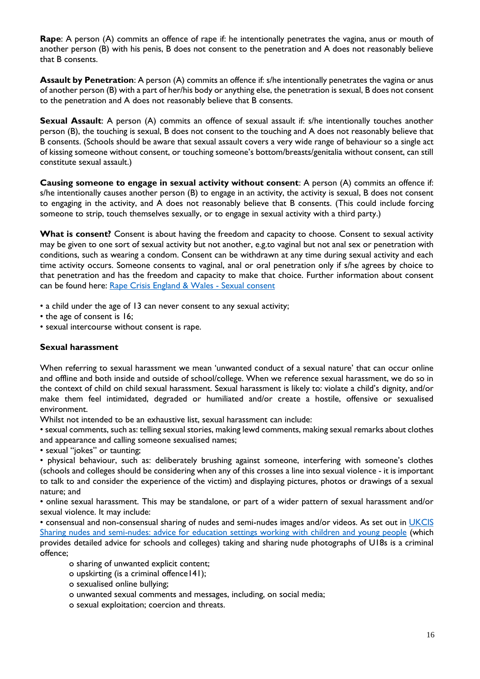**Rape**: A person (A) commits an offence of rape if: he intentionally penetrates the vagina, anus or mouth of another person (B) with his penis, B does not consent to the penetration and A does not reasonably believe that B consents.

**Assault by Penetration**: A person (A) commits an offence if: s/he intentionally penetrates the vagina or anus of another person (B) with a part of her/his body or anything else, the penetration is sexual, B does not consent to the penetration and A does not reasonably believe that B consents.

**Sexual Assault**: A person (A) commits an offence of sexual assault if: s/he intentionally touches another person (B), the touching is sexual, B does not consent to the touching and A does not reasonably believe that B consents. (Schools should be aware that sexual assault covers a very wide range of behaviour so a single act of kissing someone without consent, or touching someone's bottom/breasts/genitalia without consent, can still constitute sexual assault.)

**Causing someone to engage in sexual activity without consent**: A person (A) commits an offence if: s/he intentionally causes another person (B) to engage in an activity, the activity is sexual, B does not consent to engaging in the activity, and A does not reasonably believe that B consents. (This could include forcing someone to strip, touch themselves sexually, or to engage in sexual activity with a third party.)

What is consent? Consent is about having the freedom and capacity to choose. Consent to sexual activity may be given to one sort of sexual activity but not another, e.g.to vaginal but not anal sex or penetration with conditions, such as wearing a condom. Consent can be withdrawn at any time during sexual activity and each time activity occurs. Someone consents to vaginal, anal or oral penetration only if s/he agrees by choice to that penetration and has the freedom and capacity to make that choice. Further information about consent can be found here: [Rape Crisis England & Wales -](https://rapecrisis.org.uk/get-informed/about-sexual-violence/sexual-consent/) Sexual consent

• a child under the age of 13 can never consent to any sexual activity;

• the age of consent is 16;

• sexual intercourse without consent is rape.

#### **Sexual harassment**

When referring to sexual harassment we mean 'unwanted conduct of a sexual nature' that can occur online and offline and both inside and outside of school/college. When we reference sexual harassment, we do so in the context of child on child sexual harassment. Sexual harassment is likely to: violate a child's dignity, and/or make them feel intimidated, degraded or humiliated and/or create a hostile, offensive or sexualised environment.

Whilst not intended to be an exhaustive list, sexual harassment can include:

• sexual comments, such as: telling sexual stories, making lewd comments, making sexual remarks about clothes and appearance and calling someone sexualised names;

• sexual "jokes" or taunting;

• physical behaviour, such as: deliberately brushing against someone, interfering with someone's clothes (schools and colleges should be considering when any of this crosses a line into sexual violence - it is important to talk to and consider the experience of the victim) and displaying pictures, photos or drawings of a sexual nature; and

• online sexual harassment. This may be standalone, or part of a wider pattern of sexual harassment and/or sexual violence. It may include:

• consensual and non-consensual sharing of nudes and semi-nudes images and/or videos. As set out in UKCIS [Sharing nudes and semi-nudes: advice for education settings working with children and young people](https://www.gov.uk/government/publications/sharing-nudes-and-semi-nudes-advice-for-education-settings-working-with-children-and-young-people) (which provides detailed advice for schools and colleges) taking and sharing nude photographs of U18s is a criminal offence;

o sharing of unwanted explicit content;

- o upskirting (is a criminal offence141);
- o sexualised online bullying;
- o unwanted sexual comments and messages, including, on social media;
- o sexual exploitation; coercion and threats.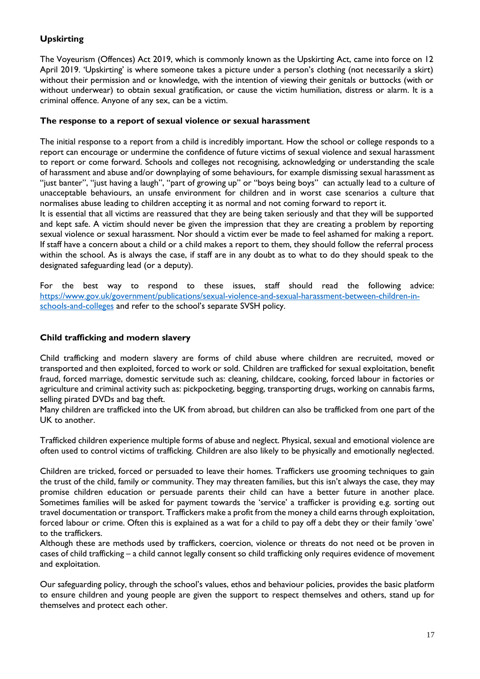# **Upskirting**

The Voyeurism (Offences) Act 2019, which is commonly known as the Upskirting Act, came into force on 12 April 2019. 'Upskirting' is where someone takes a picture under a person's clothing (not necessarily a skirt) without their permission and or knowledge, with the intention of viewing their genitals or buttocks (with or without underwear) to obtain sexual gratification, or cause the victim humiliation, distress or alarm. It is a criminal offence. Anyone of any sex, can be a victim.

#### **The response to a report of sexual violence or sexual harassment**

The initial response to a report from a child is incredibly important. How the school or college responds to a report can encourage or undermine the confidence of future victims of sexual violence and sexual harassment to report or come forward. Schools and colleges not recognising, acknowledging or understanding the scale of harassment and abuse and/or downplaying of some behaviours, for example dismissing sexual harassment as "just banter", "just having a laugh", "part of growing up" or "boys being boys" can actually lead to a culture of unacceptable behaviours, an unsafe environment for children and in worst case scenarios a culture that normalises abuse leading to children accepting it as normal and not coming forward to report it.

It is essential that all victims are reassured that they are being taken seriously and that they will be supported and kept safe. A victim should never be given the impression that they are creating a problem by reporting sexual violence or sexual harassment. Nor should a victim ever be made to feel ashamed for making a report. If staff have a concern about a child or a child makes a report to them, they should follow the referral process within the school. As is always the case, if staff are in any doubt as to what to do they should speak to the designated safeguarding lead (or a deputy).

For the best way to respond to these issues, staff should read the following advice: [https://www.gov.uk/government/publications/sexual-violence-and-sexual-harassment-between-children-in](https://www.gov.uk/government/publications/sexual-violence-and-sexual-harassment-between-children-in-schools-and-colleges)[schools-and-colleges](https://www.gov.uk/government/publications/sexual-violence-and-sexual-harassment-between-children-in-schools-and-colleges) and refer to the school's separate SVSH policy.

#### **Child trafficking and modern slavery**

Child trafficking and modern slavery are forms of child abuse where children are recruited, moved or transported and then exploited, forced to work or sold. Children are trafficked for sexual exploitation, benefit fraud, forced marriage, domestic servitude such as: cleaning, childcare, cooking, forced labour in factories or agriculture and criminal activity such as: pickpocketing, begging, transporting drugs, working on cannabis farms, selling pirated DVDs and bag theft.

Many children are trafficked into the UK from abroad, but children can also be trafficked from one part of the UK to another.

Trafficked children experience multiple forms of abuse and neglect. Physical, sexual and emotional violence are often used to control victims of trafficking. Children are also likely to be physically and emotionally neglected.

Children are tricked, forced or persuaded to leave their homes. Traffickers use grooming techniques to gain the trust of the child, family or community. They may threaten families, but this isn't always the case, they may promise children education or persuade parents their child can have a better future in another place. Sometimes families will be asked for payment towards the 'service' a trafficker is providing e.g. sorting out travel documentation or transport. Traffickers make a profit from the money a child earns through exploitation, forced labour or crime. Often this is explained as a wat for a child to pay off a debt they or their family 'owe' to the traffickers.

Although these are methods used by traffickers, coercion, violence or threats do not need ot be proven in cases of child trafficking – a child cannot legally consent so child trafficking only requires evidence of movement and exploitation.

Our safeguarding policy, through the school's values, ethos and behaviour policies, provides the basic platform to ensure children and young people are given the support to respect themselves and others, stand up for themselves and protect each other.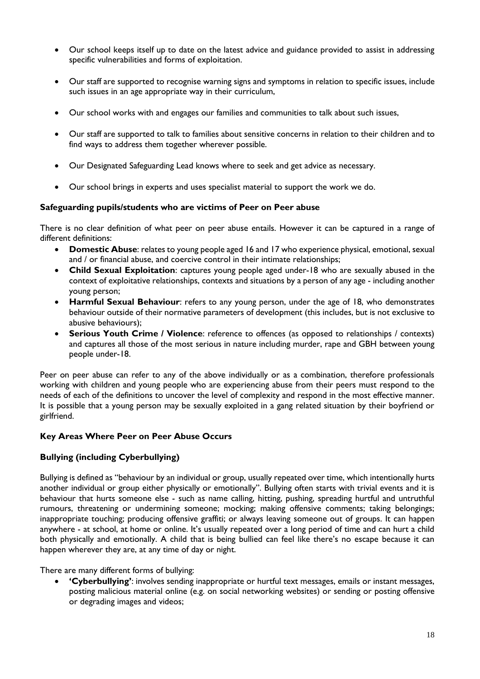- Our school keeps itself up to date on the latest advice and guidance provided to assist in addressing specific vulnerabilities and forms of exploitation.
- Our staff are supported to recognise warning signs and symptoms in relation to specific issues, include such issues in an age appropriate way in their curriculum,
- Our school works with and engages our families and communities to talk about such issues,
- Our staff are supported to talk to families about sensitive concerns in relation to their children and to find ways to address them together wherever possible.
- Our Designated Safeguarding Lead knows where to seek and get advice as necessary.
- Our school brings in experts and uses specialist material to support the work we do.

#### **Safeguarding pupils/students who are victims of Peer on Peer abuse**

There is no clear definition of what peer on peer abuse entails. However it can be captured in a range of different definitions:

- **Domestic Abuse**: relates to young people aged 16 and 17 who experience physical, emotional, sexual and / or financial abuse, and coercive control in their intimate relationships;
- **Child Sexual Exploitation**: captures young people aged under-18 who are sexually abused in the context of exploitative relationships, contexts and situations by a person of any age - including another young person;
- **Harmful Sexual Behaviour**: refers to any young person, under the age of 18, who demonstrates behaviour outside of their normative parameters of development (this includes, but is not exclusive to abusive behaviours);
- **Serious Youth Crime / Violence**: reference to offences (as opposed to relationships / contexts) and captures all those of the most serious in nature including murder, rape and GBH between young people under-18.

Peer on peer abuse can refer to any of the above individually or as a combination, therefore professionals working with children and young people who are experiencing abuse from their peers must respond to the needs of each of the definitions to uncover the level of complexity and respond in the most effective manner. It is possible that a young person may be sexually exploited in a gang related situation by their boyfriend or girlfriend.

#### **Key Areas Where Peer on Peer Abuse Occurs**

#### **Bullying (including Cyberbullying)**

Bullying is defined as "behaviour by an individual or group, usually repeated over time, which intentionally hurts another individual or group either physically or emotionally". Bullying often starts with trivial events and it is behaviour that hurts someone else - such as name calling, hitting, pushing, spreading hurtful and untruthful rumours, threatening or undermining someone; mocking; making offensive comments; taking belongings; inappropriate touching; producing offensive graffiti; or always leaving someone out of groups. It can happen anywhere - at school, at home or online. It's usually repeated over a long period of time and can hurt a child both physically and emotionally. A child that is being bullied can feel like there's no escape because it can happen wherever they are, at any time of day or night.

There are many different forms of bullying:

 **'Cyberbullying'**: involves sending inappropriate or hurtful text messages, emails or instant messages, posting malicious material online (e.g. on social networking websites) or sending or posting offensive or degrading images and videos;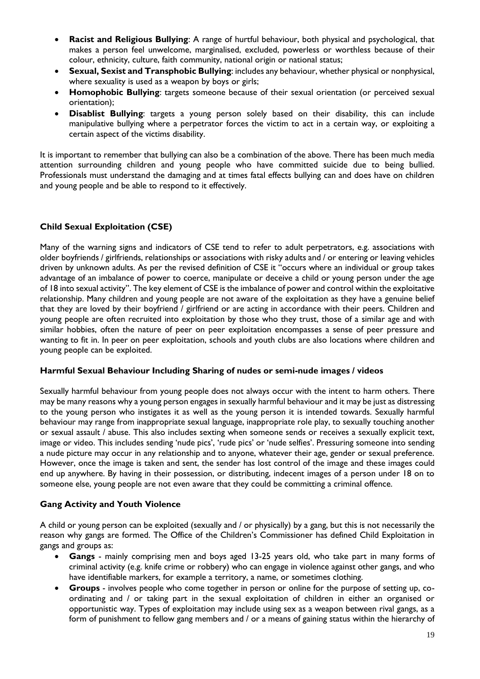- **Racist and Religious Bullying**: A range of hurtful behaviour, both physical and psychological, that makes a person feel unwelcome, marginalised, excluded, powerless or worthless because of their colour, ethnicity, culture, faith community, national origin or national status;
- **Sexual, Sexist and Transphobic Bullying**: includes any behaviour, whether physical or nonphysical, where sexuality is used as a weapon by boys or girls;
- **Homophobic Bullying**: targets someone because of their sexual orientation (or perceived sexual orientation);
- **Disablist Bullying**: targets a young person solely based on their disability, this can include manipulative bullying where a perpetrator forces the victim to act in a certain way, or exploiting a certain aspect of the victims disability.

It is important to remember that bullying can also be a combination of the above. There has been much media attention surrounding children and young people who have committed suicide due to being bullied. Professionals must understand the damaging and at times fatal effects bullying can and does have on children and young people and be able to respond to it effectively.

# **Child Sexual Exploitation (CSE)**

Many of the warning signs and indicators of CSE tend to refer to adult perpetrators, e.g. associations with older boyfriends / girlfriends, relationships or associations with risky adults and / or entering or leaving vehicles driven by unknown adults. As per the revised definition of CSE it "occurs where an individual or group takes advantage of an imbalance of power to coerce, manipulate or deceive a child or young person under the age of 18 into sexual activity". The key element of CSE is the imbalance of power and control within the exploitative relationship. Many children and young people are not aware of the exploitation as they have a genuine belief that they are loved by their boyfriend / girlfriend or are acting in accordance with their peers. Children and young people are often recruited into exploitation by those who they trust, those of a similar age and with similar hobbies, often the nature of peer on peer exploitation encompasses a sense of peer pressure and wanting to fit in. In peer on peer exploitation, schools and youth clubs are also locations where children and young people can be exploited.

#### **Harmful Sexual Behaviour Including Sharing of nudes or semi-nude images / videos**

Sexually harmful behaviour from young people does not always occur with the intent to harm others. There may be many reasons why a young person engages in sexually harmful behaviour and it may be just as distressing to the young person who instigates it as well as the young person it is intended towards. Sexually harmful behaviour may range from inappropriate sexual language, inappropriate role play, to sexually touching another or sexual assault / abuse. This also includes sexting when someone sends or receives a sexually explicit text, image or video. This includes sending 'nude pics', 'rude pics' or 'nude selfies'. Pressuring someone into sending a nude picture may occur in any relationship and to anyone, whatever their age, gender or sexual preference. However, once the image is taken and sent, the sender has lost control of the image and these images could end up anywhere. By having in their possession, or distributing, indecent images of a person under 18 on to someone else, young people are not even aware that they could be committing a criminal offence.

#### **Gang Activity and Youth Violence**

A child or young person can be exploited (sexually and / or physically) by a gang, but this is not necessarily the reason why gangs are formed. The Office of the Children's Commissioner has defined Child Exploitation in gangs and groups as:

- **Gangs** mainly comprising men and boys aged 13-25 years old, who take part in many forms of criminal activity (e.g. knife crime or robbery) who can engage in violence against other gangs, and who have identifiable markers, for example a territory, a name, or sometimes clothing.
- **Groups** involves people who come together in person or online for the purpose of setting up, coordinating and / or taking part in the sexual exploitation of children in either an organised or opportunistic way. Types of exploitation may include using sex as a weapon between rival gangs, as a form of punishment to fellow gang members and / or a means of gaining status within the hierarchy of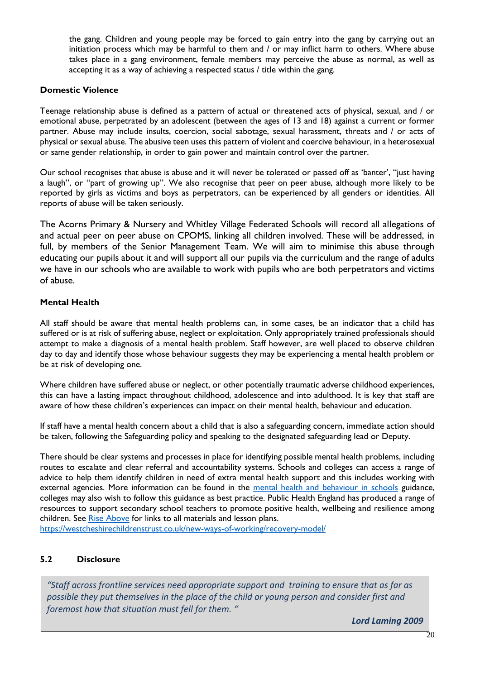the gang. Children and young people may be forced to gain entry into the gang by carrying out an initiation process which may be harmful to them and / or may inflict harm to others. Where abuse takes place in a gang environment, female members may perceive the abuse as normal, as well as accepting it as a way of achieving a respected status / title within the gang.

#### **Domestic Violence**

Teenage relationship abuse is defined as a pattern of actual or threatened acts of physical, sexual, and / or emotional abuse, perpetrated by an adolescent (between the ages of 13 and 18) against a current or former partner. Abuse may include insults, coercion, social sabotage, sexual harassment, threats and / or acts of physical or sexual abuse. The abusive teen uses this pattern of violent and coercive behaviour, in a heterosexual or same gender relationship, in order to gain power and maintain control over the partner.

Our school recognises that abuse is abuse and it will never be tolerated or passed off as 'banter', "just having a laugh", or "part of growing up". We also recognise that peer on peer abuse, although more likely to be reported by girls as victims and boys as perpetrators, can be experienced by all genders or identities. All reports of abuse will be taken seriously.

The Acorns Primary & Nursery and Whitley Village Federated Schools will record all allegations of and actual peer on peer abuse on CPOMS, linking all children involved. These will be addressed, in full, by members of the Senior Management Team. We will aim to minimise this abuse through educating our pupils about it and will support all our pupils via the curriculum and the range of adults we have in our schools who are available to work with pupils who are both perpetrators and victims of abuse.

# **Mental Health**

All staff should be aware that mental health problems can, in some cases, be an indicator that a child has suffered or is at risk of suffering abuse, neglect or exploitation. Only appropriately trained professionals should attempt to make a diagnosis of a mental health problem. Staff however, are well placed to observe children day to day and identify those whose behaviour suggests they may be experiencing a mental health problem or be at risk of developing one.

Where children have suffered abuse or neglect, or other potentially traumatic adverse childhood experiences, this can have a lasting impact throughout childhood, adolescence and into adulthood. It is key that staff are aware of how these children's experiences can impact on their mental health, behaviour and education.

If staff have a mental health concern about a child that is also a safeguarding concern, immediate action should be taken, following the Safeguarding policy and speaking to the designated safeguarding lead or Deputy.

There should be clear systems and processes in place for identifying possible mental health problems, including routes to escalate and clear referral and accountability systems. Schools and colleges can access a range of advice to help them identify children in need of extra mental health support and this includes working with external agencies. More information can be found in the [mental health and behaviour in schools](https://www.gov.uk/government/publications/mental-health-and-behaviour-in-schools--2) guidance, colleges may also wish to follow this guidance as best practice. Public Health England has produced a range of resources to support secondary school teachers to promote positive health, wellbeing and resilience among children. See [Rise Above](https://riseabove.org.uk/) for links to all materials and lesson plans.

<https://westcheshirechildrenstrust.co.uk/new-ways-of-working/recovery-model/>

# **5.2 Disclosure**

*"Staff across frontline services need appropriate support and training to ensure that as far as possible they put themselves in the place of the child or young person and consider first and foremost how that situation must fell for them. "* 

*Lord Laming 2009*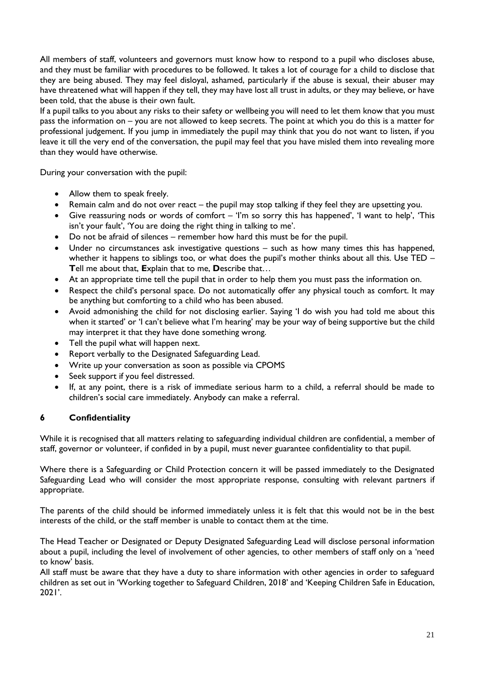All members of staff, volunteers and governors must know how to respond to a pupil who discloses abuse, and they must be familiar with procedures to be followed. It takes a lot of courage for a child to disclose that they are being abused. They may feel disloyal, ashamed, particularly if the abuse is sexual, their abuser may have threatened what will happen if they tell, they may have lost all trust in adults, or they may believe, or have been told, that the abuse is their own fault.

If a pupil talks to you about any risks to their safety or wellbeing you will need to let them know that you must pass the information on – you are not allowed to keep secrets. The point at which you do this is a matter for professional judgement. If you jump in immediately the pupil may think that you do not want to listen, if you leave it till the very end of the conversation, the pupil may feel that you have misled them into revealing more than they would have otherwise.

During your conversation with the pupil:

- Allow them to speak freely.
- Remain calm and do not over react the pupil may stop talking if they feel they are upsetting you.
- Give reassuring nods or words of comfort 'I'm so sorry this has happened', 'I want to help', 'This isn't your fault', 'You are doing the right thing in talking to me'.
- Do not be afraid of silences remember how hard this must be for the pupil.
- Under no circumstances ask investigative questions such as how many times this has happened, whether it happens to siblings too, or what does the pupil's mother thinks about all this. Use TED – **T**ell me about that, **E**xplain that to me, **D**escribe that…
- At an appropriate time tell the pupil that in order to help them you must pass the information on.
- Respect the child's personal space. Do not automatically offer any physical touch as comfort. It may be anything but comforting to a child who has been abused.
- Avoid admonishing the child for not disclosing earlier. Saying 'I do wish you had told me about this when it started' or 'I can't believe what I'm hearing' may be your way of being supportive but the child may interpret it that they have done something wrong.
- Tell the pupil what will happen next.
- Report verbally to the Designated Safeguarding Lead.
- Write up your conversation as soon as possible via CPOMS
- Seek support if you feel distressed.
- If, at any point, there is a risk of immediate serious harm to a child, a referral should be made to children's social care immediately. Anybody can make a referral.

#### **6 Confidentiality**

While it is recognised that all matters relating to safeguarding individual children are confidential, a member of staff, governor or volunteer, if confided in by a pupil, must never guarantee confidentiality to that pupil.

Where there is a Safeguarding or Child Protection concern it will be passed immediately to the Designated Safeguarding Lead who will consider the most appropriate response, consulting with relevant partners if appropriate.

The parents of the child should be informed immediately unless it is felt that this would not be in the best interests of the child, or the staff member is unable to contact them at the time.

The Head Teacher or Designated or Deputy Designated Safeguarding Lead will disclose personal information about a pupil, including the level of involvement of other agencies, to other members of staff only on a 'need to know' basis.

All staff must be aware that they have a duty to share information with other agencies in order to safeguard children as set out in 'Working together to Safeguard Children, 2018' and 'Keeping Children Safe in Education, 2021'.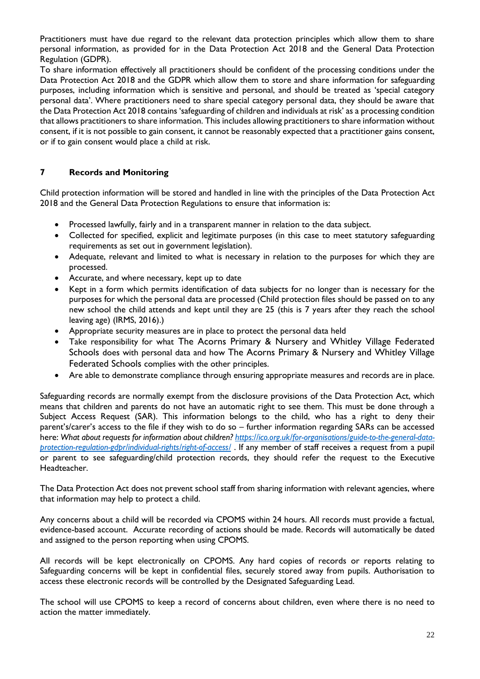Practitioners must have due regard to the relevant data protection principles which allow them to share personal information, as provided for in the Data Protection Act 2018 and the General Data Protection Regulation (GDPR).

To share information effectively all practitioners should be confident of the processing conditions under the Data Protection Act 2018 and the GDPR which allow them to store and share information for safeguarding purposes, including information which is sensitive and personal, and should be treated as 'special category personal data'. Where practitioners need to share special category personal data, they should be aware that the Data Protection Act 2018 contains 'safeguarding of children and individuals at risk' as a processing condition that allows practitioners to share information. This includes allowing practitioners to share information without consent, if it is not possible to gain consent, it cannot be reasonably expected that a practitioner gains consent, or if to gain consent would place a child at risk.

# **7 Records and Monitoring**

Child protection information will be stored and handled in line with the principles of the Data Protection Act 2018 and the General Data Protection Regulations to ensure that information is:

- Processed lawfully, fairly and in a transparent manner in relation to the data subject.
- Collected for specified, explicit and legitimate purposes (in this case to meet statutory safeguarding requirements as set out in government legislation).
- Adequate, relevant and limited to what is necessary in relation to the purposes for which they are processed.
- Accurate, and where necessary, kept up to date
- Kept in a form which permits identification of data subjects for no longer than is necessary for the purposes for which the personal data are processed (Child protection files should be passed on to any new school the child attends and kept until they are 25 (this is 7 years after they reach the school leaving age) (IRMS, 2016).)
- Appropriate security measures are in place to protect the personal data held
- Take responsibility for what The Acorns Primary & Nursery and Whitley Village Federated Schools does with personal data and how The Acorns Primary & Nursery and Whitley Village Federated Schools complies with the other principles.
- Are able to demonstrate compliance through ensuring appropriate measures and records are in place.

Safeguarding records are normally exempt from the disclosure provisions of the Data Protection Act, which means that children and parents do not have an automatic right to see them. This must be done through a Subject Access Request (SAR). This information belongs to the child, who has a right to deny their parent's/carer's access to the file if they wish to do so – further information regarding SARs can be accessed here: *What about requests for information about children[? https://ico.org.uk/for-organisations/guide-to-the-general-data](https://ico.org.uk/for-organisations/guide-to-the-general-data-protection-regulation-gdpr/individual-rights/right-of-access/)[protection-regulation-gdpr/individual-rights/right-of-access/](https://ico.org.uk/for-organisations/guide-to-the-general-data-protection-regulation-gdpr/individual-rights/right-of-access/)* . If any member of staff receives a request from a pupil or parent to see safeguarding/child protection records, they should refer the request to the Executive Headteacher.

The Data Protection Act does not prevent school staff from sharing information with relevant agencies, where that information may help to protect a child.

Any concerns about a child will be recorded via CPOMS within 24 hours. All records must provide a factual, evidence-based account. Accurate recording of actions should be made. Records will automatically be dated and assigned to the person reporting when using CPOMS.

All records will be kept electronically on CPOMS. Any hard copies of records or reports relating to Safeguarding concerns will be kept in confidential files, securely stored away from pupils. Authorisation to access these electronic records will be controlled by the Designated Safeguarding Lead.

The school will use CPOMS to keep a record of concerns about children, even where there is no need to action the matter immediately.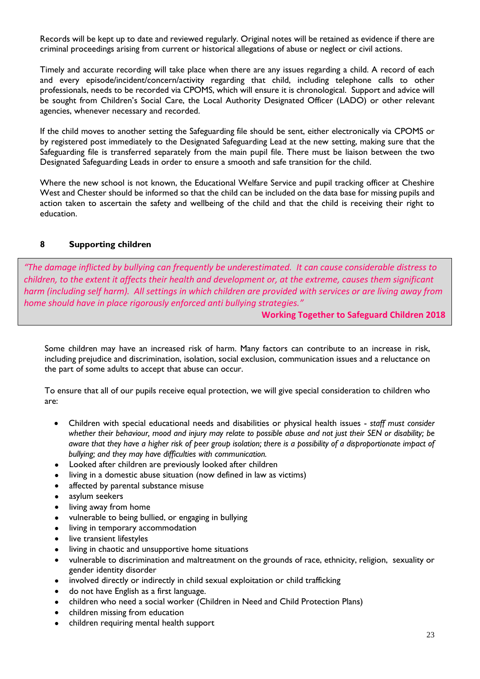Records will be kept up to date and reviewed regularly. Original notes will be retained as evidence if there are criminal proceedings arising from current or historical allegations of abuse or neglect or civil actions.

Timely and accurate recording will take place when there are any issues regarding a child. A record of each and every episode/incident/concern/activity regarding that child, including telephone calls to other professionals, needs to be recorded via CPOMS, which will ensure it is chronological. Support and advice will be sought from Children's Social Care, the Local Authority Designated Officer (LADO) or other relevant agencies, whenever necessary and recorded.

If the child moves to another setting the Safeguarding file should be sent, either electronically via CPOMS or by registered post immediately to the Designated Safeguarding Lead at the new setting, making sure that the Safeguarding file is transferred separately from the main pupil file. There must be liaison between the two Designated Safeguarding Leads in order to ensure a smooth and safe transition for the child.

Where the new school is not known, the Educational Welfare Service and pupil tracking officer at Cheshire West and Chester should be informed so that the child can be included on the data base for missing pupils and action taken to ascertain the safety and wellbeing of the child and that the child is receiving their right to education.

#### **8 Supporting children**

*"The damage inflicted by bullying can frequently be underestimated. It can cause considerable distress to children, to the extent it affects their health and development or, at the extreme, causes them significant harm (including self harm). All settings in which children are provided with services or are living away from home should have in place rigorously enforced anti bullying strategies."*

**Working Together to Safeguard Children 2018**

Some children may have an increased risk of harm. Many factors can contribute to an increase in risk, including prejudice and discrimination, isolation, social exclusion, communication issues and a reluctance on the part of some adults to accept that abuse can occur.

To ensure that all of our pupils receive equal protection, we will give special consideration to children who are:

- Children with special educational needs and disabilities or physical health issues *staff must consider whether their behaviour, mood and injury may relate to possible abuse and not just their SEN or disability; be aware that they have a higher risk of peer group isolation; there is a possibility of a disproportionate impact of bullying; and they may have difficulties with communication.*
- Looked after children are previously looked after children
- living in a domestic abuse situation (now defined in law as victims)
- affected by parental substance misuse
- asylum seekers
- living away from home
- vulnerable to being bullied, or engaging in bullying
- living in temporary accommodation
- live transient lifestyles
- living in chaotic and unsupportive home situations
- vulnerable to discrimination and maltreatment on the grounds of race, ethnicity, religion, sexuality or gender identity disorder
- involved directly or indirectly in child sexual exploitation or child trafficking
- do not have English as a first language.
- children who need a social worker (Children in Need and Child Protection Plans)
- children missing from education
- children requiring mental health support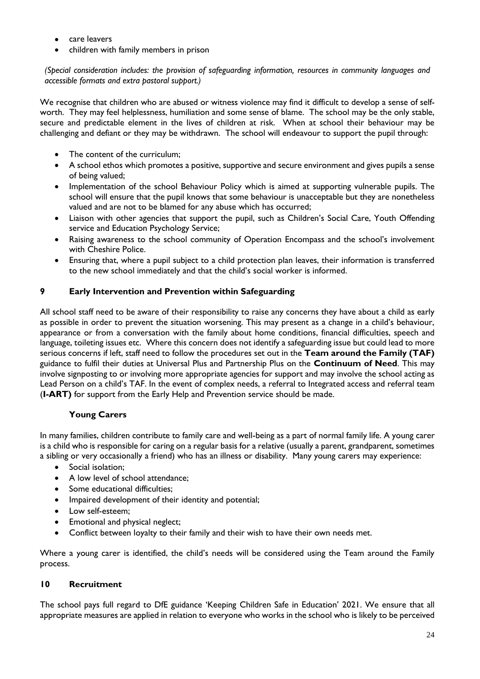- care leavers
- children with family members in prison

*(Special consideration includes: the provision of safeguarding information, resources in community languages and accessible formats and extra pastoral support.)*

We recognise that children who are abused or witness violence may find it difficult to develop a sense of selfworth. They may feel helplessness, humiliation and some sense of blame. The school may be the only stable, secure and predictable element in the lives of children at risk. When at school their behaviour may be challenging and defiant or they may be withdrawn. The school will endeavour to support the pupil through:

- The content of the curriculum;
- A school ethos which promotes a positive, supportive and secure environment and gives pupils a sense of being valued;
- Implementation of the school Behaviour Policy which is aimed at supporting vulnerable pupils. The school will ensure that the pupil knows that some behaviour is unacceptable but they are nonetheless valued and are not to be blamed for any abuse which has occurred;
- Liaison with other agencies that support the pupil, such as Children's Social Care, Youth Offending service and Education Psychology Service;
- Raising awareness to the school community of Operation Encompass and the school's involvement with Cheshire Police.
- Ensuring that, where a pupil subject to a child protection plan leaves, their information is transferred to the new school immediately and that the child's social worker is informed.

# **9 Early Intervention and Prevention within Safeguarding**

All school staff need to be aware of their responsibility to raise any concerns they have about a child as early as possible in order to prevent the situation worsening. This may present as a change in a child's behaviour, appearance or from a conversation with the family about home conditions, financial difficulties, speech and language, toileting issues etc. Where this concern does not identify a safeguarding issue but could lead to more serious concerns if left, staff need to follow the procedures set out in the **Team around the Family (TAF)** guidance to fulfil their duties at Universal Plus and Partnership Plus on the **Continuum of Need**. This may involve signposting to or involving more appropriate agencies for support and may involve the school acting as Lead Person on a child's TAF. In the event of complex needs, a referral to Integrated access and referral team (**I-ART)** for support from the Early Help and Prevention service should be made.

# **Young Carers**

In many families, children contribute to family care and well-being as a part of normal family life. A young carer is a child who is responsible for caring on a regular basis for a relative (usually a parent, grandparent, sometimes a sibling or very occasionally a friend) who has an illness or disability. Many young carers may experience:

- Social isolation;
- A low level of school attendance;
- Some educational difficulties;
- Impaired development of their identity and potential;
- Low self-esteem;
- Emotional and physical neglect;
- Conflict between loyalty to their family and their wish to have their own needs met.

Where a young carer is identified, the child's needs will be considered using the Team around the Family process.

#### **10 Recruitment**

The school pays full regard to DfE guidance 'Keeping Children Safe in Education' 2021. We ensure that all appropriate measures are applied in relation to everyone who works in the school who is likely to be perceived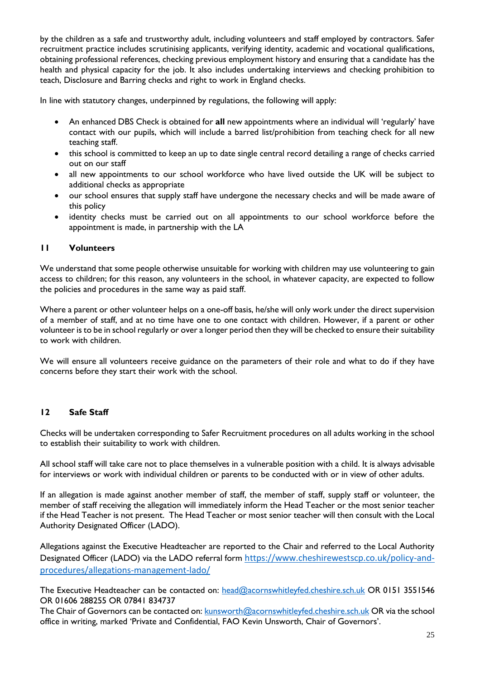by the children as a safe and trustworthy adult, including volunteers and staff employed by contractors. Safer recruitment practice includes scrutinising applicants, verifying identity, academic and vocational qualifications, obtaining professional references, checking previous employment history and ensuring that a candidate has the health and physical capacity for the job. It also includes undertaking interviews and checking prohibition to teach, Disclosure and Barring checks and right to work in England checks.

In line with statutory changes, underpinned by regulations, the following will apply:

- An enhanced DBS Check is obtained for **all** new appointments where an individual will 'regularly' have contact with our pupils, which will include a barred list/prohibition from teaching check for all new teaching staff.
- this school is committed to keep an up to date single central record detailing a range of checks carried out on our staff
- all new appointments to our school workforce who have lived outside the UK will be subject to additional checks as appropriate
- our school ensures that supply staff have undergone the necessary checks and will be made aware of this policy
- identity checks must be carried out on all appointments to our school workforce before the appointment is made, in partnership with the LA

# **11 Volunteers**

We understand that some people otherwise unsuitable for working with children may use volunteering to gain access to children; for this reason, any volunteers in the school, in whatever capacity, are expected to follow the policies and procedures in the same way as paid staff.

Where a parent or other volunteer helps on a one-off basis, he/she will only work under the direct supervision of a member of staff, and at no time have one to one contact with children. However, if a parent or other volunteer is to be in school regularly or over a longer period then they will be checked to ensure their suitability to work with children.

We will ensure all volunteers receive guidance on the parameters of their role and what to do if they have concerns before they start their work with the school.

# **12 Safe Staff**

Checks will be undertaken corresponding to Safer Recruitment procedures on all adults working in the school to establish their suitability to work with children.

All school staff will take care not to place themselves in a vulnerable position with a child. It is always advisable for interviews or work with individual children or parents to be conducted with or in view of other adults.

If an allegation is made against another member of staff, the member of staff, supply staff or volunteer, the member of staff receiving the allegation will immediately inform the Head Teacher or the most senior teacher if the Head Teacher is not present. The Head Teacher or most senior teacher will then consult with the Local Authority Designated Officer (LADO).

Allegations against the Executive Headteacher are reported to the Chair and referred to the Local Authority Designated Officer (LADO) via the LADO referral form [https://www.cheshirewestscp.co.uk/policy-and](https://www.cheshirewestscp.co.uk/policy-and-procedures/allegations-management-lado/)[procedures/allegations-management-lado/](https://www.cheshirewestscp.co.uk/policy-and-procedures/allegations-management-lado/)

The Executive Headteacher can be contacted on: [head@acornswhitleyfed.cheshire.sch.uk](mailto:head@acornswhitleyfed.cheshire.sch.uk) OR 0151 3551546 OR 01606 288255 OR 07841 834737

The Chair of Governors can be contacted on: [kunsworth@acornswhitleyfed.cheshire.sch.uk](mailto:kunsworth@acornswhitleyfed.cheshire.sch.uk) OR via the school office in writing, marked 'Private and Confidential, FAO Kevin Unsworth, Chair of Governors'.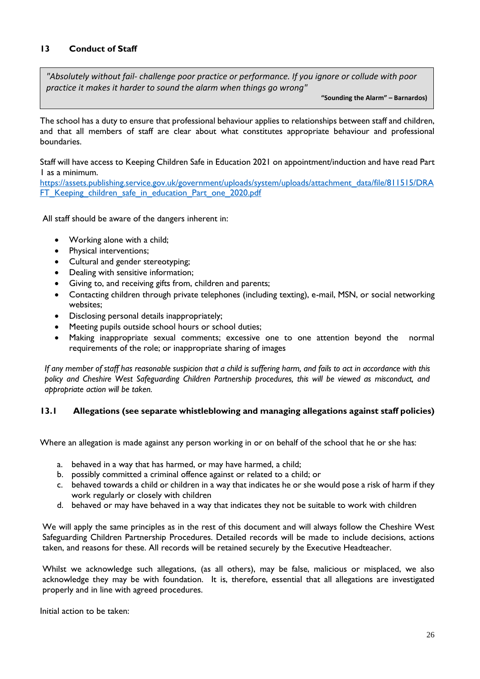# **13 Conduct of Staff**

*"Absolutely without fail- challenge poor practice or performance. If you ignore or collude with poor practice it makes it harder to sound the alarm when things go wrong"* 

**"Sounding the Alarm" – Barnardos)**

The school has a duty to ensure that professional behaviour applies to relationships between staff and children, and that all members of staff are clear about what constitutes appropriate behaviour and professional boundaries.

Staff will have access to Keeping Children Safe in Education 2021 on appointment/induction and have read Part 1 as a minimum.

[https://assets.publishing.service.gov.uk/government/uploads/system/uploads/attachment\\_data/file/811515/DRA](https://assets.publishing.service.gov.uk/government/uploads/system/uploads/attachment_data/file/811515/DRAFT_Keeping_children_safe_in_education_Part_one_2020.pdf) [FT\\_Keeping\\_children\\_safe\\_in\\_education\\_Part\\_one\\_2020.pdf](https://assets.publishing.service.gov.uk/government/uploads/system/uploads/attachment_data/file/811515/DRAFT_Keeping_children_safe_in_education_Part_one_2020.pdf)

All staff should be aware of the dangers inherent in:

- Working alone with a child;
- Physical interventions;
- Cultural and gender stereotyping;
- Dealing with sensitive information;
- Giving to, and receiving gifts from, children and parents;
- Contacting children through private telephones (including texting), e-mail, MSN, or social networking websites;
- Disclosing personal details inappropriately;
- Meeting pupils outside school hours or school duties;
- Making inappropriate sexual comments; excessive one to one attention beyond the normal requirements of the role; or inappropriate sharing of images

*If any member of staff has reasonable suspicion that a child is suffering harm, and fails to act in accordance with this policy and Cheshire West Safeguarding Children Partnership procedures, this will be viewed as misconduct, and appropriate action will be taken.*

#### **13.1 Allegations (see separate whistleblowing and managing allegations against staff policies)**

Where an allegation is made against any person working in or on behalf of the school that he or she has:

- a. behaved in a way that has harmed, or may have harmed, a child;
- b. possibly committed a criminal offence against or related to a child; or
- c. behaved towards a child or children in a way that indicates he or she would pose a risk of harm if they work regularly or closely with children
- d. behaved or may have behaved in a way that indicates they not be suitable to work with children

We will apply the same principles as in the rest of this document and will always follow the Cheshire West Safeguarding Children Partnership Procedures. Detailed records will be made to include decisions, actions taken, and reasons for these. All records will be retained securely by the Executive Headteacher.

Whilst we acknowledge such allegations, (as all others), may be false, malicious or misplaced, we also acknowledge they may be with foundation. It is, therefore, essential that all allegations are investigated properly and in line with agreed procedures.

Initial action to be taken: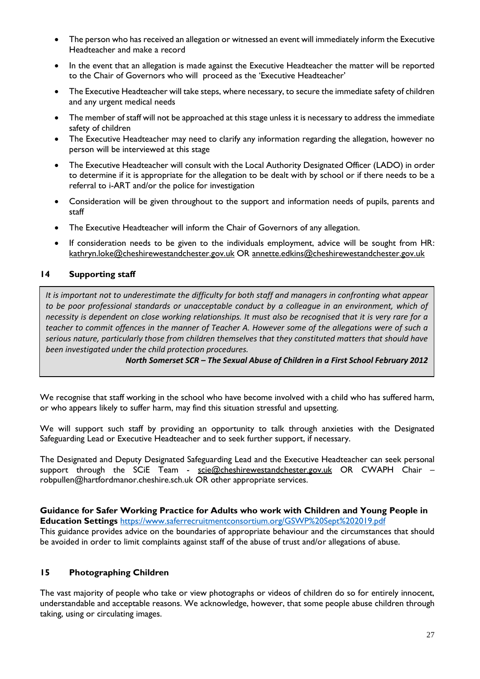- The person who has received an allegation or witnessed an event will immediately inform the Executive Headteacher and make a record
- In the event that an allegation is made against the Executive Headteacher the matter will be reported to the Chair of Governors who will proceed as the 'Executive Headteacher'
- The Executive Headteacher will take steps, where necessary, to secure the immediate safety of children and any urgent medical needs
- The member of staff will not be approached at this stage unless it is necessary to address the immediate safety of children
- The Executive Headteacher may need to clarify any information regarding the allegation, however no person will be interviewed at this stage
- The Executive Headteacher will consult with the Local Authority Designated Officer (LADO) in order to determine if it is appropriate for the allegation to be dealt with by school or if there needs to be a referral to i-ART and/or the police for investigation
- Consideration will be given throughout to the support and information needs of pupils, parents and staff
- The Executive Headteacher will inform the Chair of Governors of any allegation.
- If consideration needs to be given to the individuals employment, advice will be sought from HR: [kathryn.loke@cheshirewestandchester.gov.uk](mailto:kathryn.loke@cheshirewestandchester.gov.uk) OR annette.edkins@cheshirewestandchester.gov.uk

#### **14 Supporting staff**

*It is important not to underestimate the difficulty for both staff and managers in confronting what appear to be poor professional standards or unacceptable conduct by a colleague in an environment, which of necessity is dependent on close working relationships. It must also be recognised that it is very rare for a teacher to commit offences in the manner of Teacher A. However some of the allegations were of such a serious nature, particularly those from children themselves that they constituted matters that should have been investigated under the child protection procedures.*

*North Somerset SCR – The Sexual Abuse of Children in a First School February 2012*

We recognise that staff working in the school who have become involved with a child who has suffered harm, or who appears likely to suffer harm, may find this situation stressful and upsetting.

We will support such staff by providing an opportunity to talk through anxieties with the Designated Safeguarding Lead or Executive Headteacher and to seek further support, if necessary.

The Designated and Deputy Designated Safeguarding Lead and the Executive Headteacher can seek personal support through the SCIE Team - [scie@cheshirewestandchester.gov.uk](mailto:scie@cheshirewestandchester.gov.uk) OR CWAPH Chair robpullen@hartfordmanor.cheshire.sch.uk OR other appropriate services.

**Guidance for Safer Working Practice for Adults who work with Children and Young People in Education Settings** <https://www.saferrecruitmentconsortium.org/GSWP%20Sept%202019.pdf>

This guidance provides advice on the boundaries of appropriate behaviour and the circumstances that should be avoided in order to limit complaints against staff of the abuse of trust and/or allegations of abuse.

#### **15 Photographing Children**

The vast majority of people who take or view photographs or videos of children do so for entirely innocent, understandable and acceptable reasons. We acknowledge, however, that some people abuse children through taking, using or circulating images.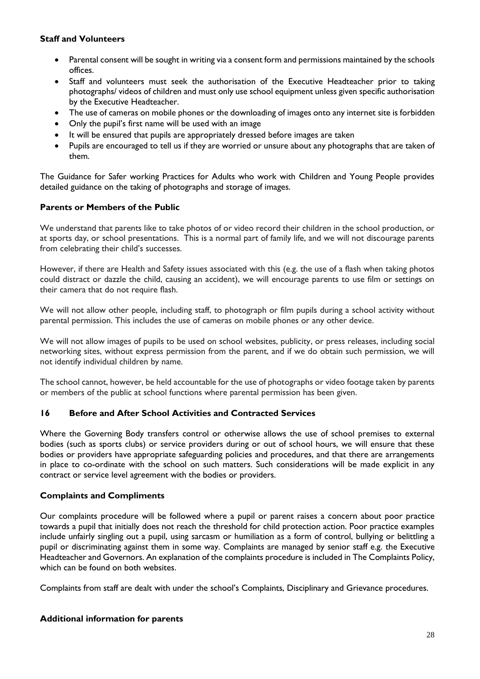#### **Staff and Volunteers**

- Parental consent will be sought in writing via a consent form and permissions maintained by the schools offices.
- Staff and volunteers must seek the authorisation of the Executive Headteacher prior to taking photographs/ videos of children and must only use school equipment unless given specific authorisation by the Executive Headteacher.
- The use of cameras on mobile phones or the downloading of images onto any internet site is forbidden
- Only the pupil's first name will be used with an image
- It will be ensured that pupils are appropriately dressed before images are taken
- Pupils are encouraged to tell us if they are worried or unsure about any photographs that are taken of them.

The Guidance for Safer working Practices for Adults who work with Children and Young People provides detailed guidance on the taking of photographs and storage of images.

# **Parents or Members of the Public**

We understand that parents like to take photos of or video record their children in the school production, or at sports day, or school presentations. This is a normal part of family life, and we will not discourage parents from celebrating their child's successes.

However, if there are Health and Safety issues associated with this (e.g. the use of a flash when taking photos could distract or dazzle the child, causing an accident), we will encourage parents to use film or settings on their camera that do not require flash.

We will not allow other people, including staff, to photograph or film pupils during a school activity without parental permission. This includes the use of cameras on mobile phones or any other device.

We will not allow images of pupils to be used on school websites, publicity, or press releases, including social networking sites, without express permission from the parent, and if we do obtain such permission, we will not identify individual children by name.

The school cannot, however, be held accountable for the use of photographs or video footage taken by parents or members of the public at school functions where parental permission has been given.

# **16 Before and After School Activities and Contracted Services**

Where the Governing Body transfers control or otherwise allows the use of school premises to external bodies (such as sports clubs) or service providers during or out of school hours, we will ensure that these bodies or providers have appropriate safeguarding policies and procedures, and that there are arrangements in place to co-ordinate with the school on such matters. Such considerations will be made explicit in any contract or service level agreement with the bodies or providers.

#### **Complaints and Compliments**

Our complaints procedure will be followed where a pupil or parent raises a concern about poor practice towards a pupil that initially does not reach the threshold for child protection action. Poor practice examples include unfairly singling out a pupil, using sarcasm or humiliation as a form of control, bullying or belittling a pupil or discriminating against them in some way. Complaints are managed by senior staff e.g. the Executive Headteacher and Governors. An explanation of the complaints procedure is included in The Complaints Policy, which can be found on both websites.

Complaints from staff are dealt with under the school's Complaints, Disciplinary and Grievance procedures.

#### **Additional information for parents**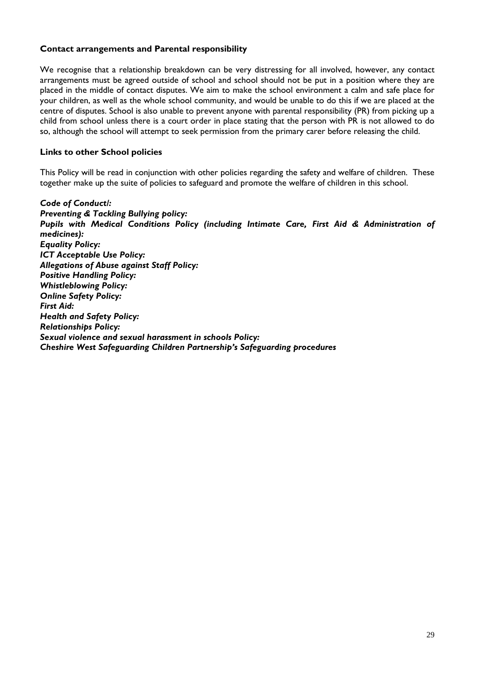#### **Contact arrangements and Parental responsibility**

We recognise that a relationship breakdown can be very distressing for all involved, however, any contact arrangements must be agreed outside of school and school should not be put in a position where they are placed in the middle of contact disputes. We aim to make the school environment a calm and safe place for your children, as well as the whole school community, and would be unable to do this if we are placed at the centre of disputes. School is also unable to prevent anyone with parental responsibility (PR) from picking up a child from school unless there is a court order in place stating that the person with PR is not allowed to do so, although the school will attempt to seek permission from the primary carer before releasing the child.

#### **Links to other School policies**

This Policy will be read in conjunction with other policies regarding the safety and welfare of children. These together make up the suite of policies to safeguard and promote the welfare of children in this school.

*Code of Conduct/: Preventing & Tackling Bullying policy: Pupils with Medical Conditions Policy (including Intimate Care, First Aid & Administration of medicines): Equality Policy: ICT Acceptable Use Policy: Allegations of Abuse against Staff Policy: Positive Handling Policy: Whistleblowing Policy: Online Safety Policy: First Aid: Health and Safety Policy: Relationships Policy: Sexual violence and sexual harassment in schools Policy: Cheshire West Safeguarding Children Partnership's Safeguarding procedures*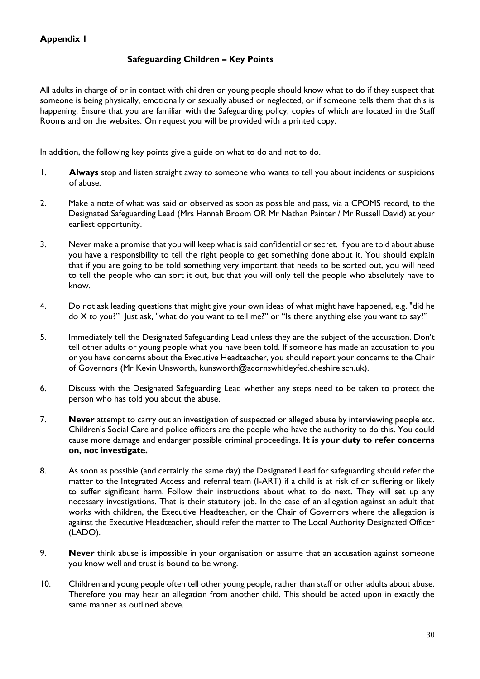# **Safeguarding Children – Key Points**

All adults in charge of or in contact with children or young people should know what to do if they suspect that someone is being physically, emotionally or sexually abused or neglected, or if someone tells them that this is happening. Ensure that you are familiar with the Safeguarding policy; copies of which are located in the Staff Rooms and on the websites. On request you will be provided with a printed copy.

In addition, the following key points give a guide on what to do and not to do.

- 1. **Always** stop and listen straight away to someone who wants to tell you about incidents or suspicions of abuse.
- 2. Make a note of what was said or observed as soon as possible and pass, via a CPOMS record, to the Designated Safeguarding Lead (Mrs Hannah Broom OR Mr Nathan Painter / Mr Russell David) at your earliest opportunity.
- 3. Never make a promise that you will keep what is said confidential or secret. If you are told about abuse you have a responsibility to tell the right people to get something done about it. You should explain that if you are going to be told something very important that needs to be sorted out, you will need to tell the people who can sort it out, but that you will only tell the people who absolutely have to know.
- 4. Do not ask leading questions that might give your own ideas of what might have happened, e.g. "did he do X to you?" Just ask, "what do you want to tell me?" or "Is there anything else you want to say?"
- 5. Immediately tell the Designated Safeguarding Lead unless they are the subject of the accusation. Don't tell other adults or young people what you have been told. If someone has made an accusation to you or you have concerns about the Executive Headteacher, you should report your concerns to the Chair of Governors (Mr Kevin Unsworth, [kunsworth@acornswhitleyfed.cheshire.sch.uk\)](mailto:kunsworth@acornswhitleyfed.cheshire.sch.uk).
- 6. Discuss with the Designated Safeguarding Lead whether any steps need to be taken to protect the person who has told you about the abuse.
- 7. **Never** attempt to carry out an investigation of suspected or alleged abuse by interviewing people etc. Children's Social Care and police officers are the people who have the authority to do this. You could cause more damage and endanger possible criminal proceedings. **It is your duty to refer concerns on, not investigate.**
- 8. As soon as possible (and certainly the same day) the Designated Lead for safeguarding should refer the matter to the Integrated Access and referral team (I-ART) if a child is at risk of or suffering or likely to suffer significant harm. Follow their instructions about what to do next. They will set up any necessary investigations. That is their statutory job. In the case of an allegation against an adult that works with children, the Executive Headteacher, or the Chair of Governors where the allegation is against the Executive Headteacher, should refer the matter to The Local Authority Designated Officer (LADO).
- 9. **Never** think abuse is impossible in your organisation or assume that an accusation against someone you know well and trust is bound to be wrong.
- 10. Children and young people often tell other young people, rather than staff or other adults about abuse. Therefore you may hear an allegation from another child. This should be acted upon in exactly the same manner as outlined above.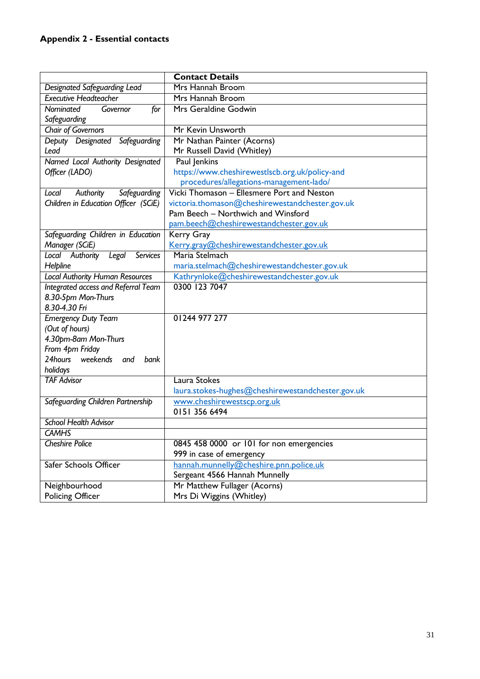# **Appendix 2 - Essential contacts**

|                                             | <b>Contact Details</b>                            |  |
|---------------------------------------------|---------------------------------------------------|--|
| Designated Safeguarding Lead                | Mrs Hannah Broom                                  |  |
| <b>Executive Headteacher</b>                | Mrs Hannah Broom                                  |  |
| Governor<br>Nominated<br>for                | Mrs Geraldine Godwin                              |  |
| Safeguarding                                |                                                   |  |
| <b>Chair of Governors</b>                   | Mr Kevin Unsworth                                 |  |
| Deputy Designated<br>Safeguarding           | Mr Nathan Painter (Acorns)                        |  |
| Lead                                        | Mr Russell David (Whitley)                        |  |
| Named Local Authority Designated            | Paul Jenkins                                      |  |
| Officer (LADO)                              | https://www.cheshirewestlscb.org.uk/policy-and    |  |
|                                             | procedures/allegations-management-lado/           |  |
| Authority<br>Safeguarding<br>Local          | Vicki Thomason - Ellesmere Port and Neston        |  |
| Children in Education Officer (SCiE)        | victoria.thomason@cheshirewestandchester.gov.uk   |  |
|                                             | Pam Beech - Northwich and Winsford                |  |
|                                             | pam.beech@cheshirewestandchester.gov.uk           |  |
| Safeguarding Children in Education          | Kerry Gray                                        |  |
| Manager (SCiE)                              | Kerry.gray@cheshirewestandchester.gov.uk          |  |
| Local Authority<br>Legal<br><b>Services</b> | Maria Stelmach                                    |  |
| Helpline                                    | maria.stelmach@cheshirewestandchester.gov.uk      |  |
| <b>Local Authority Human Resources</b>      | Kathrynloke@cheshirewestandchester.gov.uk         |  |
| Integrated access and Referral Team         | 0300 123 7047                                     |  |
| 8.30-5pm Mon-Thurs                          |                                                   |  |
| 8.30-4.30 Fri                               |                                                   |  |
| <b>Emergency Duty Team</b>                  | 01244 977 277                                     |  |
| (Out of hours)                              |                                                   |  |
| 4.30pm-8am Mon-Thurs                        |                                                   |  |
| From 4pm Friday                             |                                                   |  |
| 24hours weekends and<br>bank                |                                                   |  |
| holidays                                    |                                                   |  |
| <b>TAF Advisor</b>                          | Laura Stokes                                      |  |
|                                             | laura.stokes-hughes@cheshirewestandchester.gov.uk |  |
| Safeguarding Children Partnership           | www.cheshirewestscp.org.uk                        |  |
|                                             | 0151 356 6494                                     |  |
| <b>School Health Advisor</b>                |                                                   |  |
| <b>CAMHS</b>                                |                                                   |  |
| <b>Cheshire Police</b>                      | 0845 458 0000 or 101 for non emergencies          |  |
|                                             | 999 in case of emergency                          |  |
| Safer Schools Officer                       | hannah.munnelly@cheshire.pnn.police.uk            |  |
|                                             | Sergeant 4566 Hannah Munnelly                     |  |
| Neighbourhood                               | Mr Matthew Fullager (Acorns)                      |  |
| <b>Policing Officer</b>                     | Mrs Di Wiggins (Whitley)                          |  |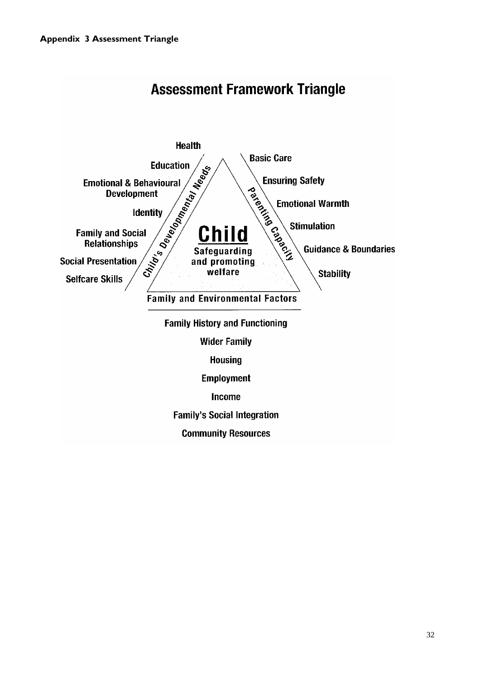

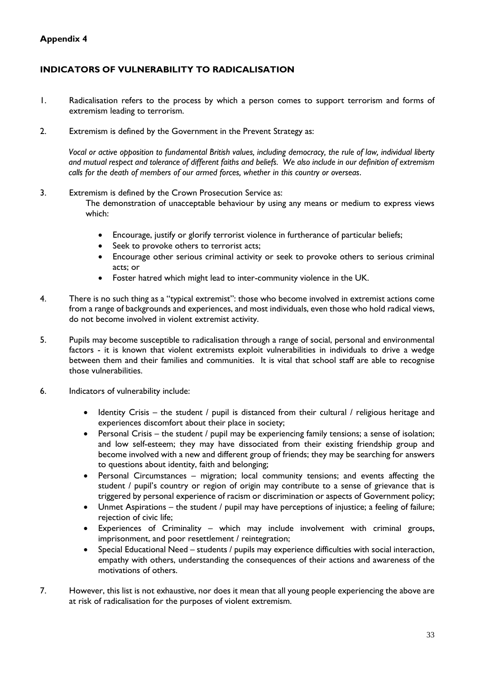# **Appendix 4**

# **INDICATORS OF VULNERABILITY TO RADICALISATION**

- 1. Radicalisation refers to the process by which a person comes to support terrorism and forms of extremism leading to terrorism.
- 2. Extremism is defined by the Government in the Prevent Strategy as:

*Vocal or active opposition to fundamental British values, including democracy, the rule of law, individual liberty and mutual respect and tolerance of different faiths and beliefs. We also include in our definition of extremism calls for the death of members of our armed forces, whether in this country or overseas*.

- 3. Extremism is defined by the Crown Prosecution Service as: The demonstration of unacceptable behaviour by using any means or medium to express views which:
	- Encourage, justify or glorify terrorist violence in furtherance of particular beliefs;
	- Seek to provoke others to terrorist acts;
	- Encourage other serious criminal activity or seek to provoke others to serious criminal acts; or
	- Foster hatred which might lead to inter-community violence in the UK.
- 4. There is no such thing as a "typical extremist": those who become involved in extremist actions come from a range of backgrounds and experiences, and most individuals, even those who hold radical views, do not become involved in violent extremist activity.
- 5. Pupils may become susceptible to radicalisation through a range of social, personal and environmental factors - it is known that violent extremists exploit vulnerabilities in individuals to drive a wedge between them and their families and communities. It is vital that school staff are able to recognise those vulnerabilities.
- 6. Indicators of vulnerability include:
	- Identity Crisis the student / pupil is distanced from their cultural / religious heritage and experiences discomfort about their place in society;
	- Personal Crisis the student / pupil may be experiencing family tensions; a sense of isolation; and low self-esteem; they may have dissociated from their existing friendship group and become involved with a new and different group of friends; they may be searching for answers to questions about identity, faith and belonging;
	- Personal Circumstances migration; local community tensions; and events affecting the student / pupil's country or region of origin may contribute to a sense of grievance that is triggered by personal experience of racism or discrimination or aspects of Government policy;
	- Unmet Aspirations the student / pupil may have perceptions of injustice; a feeling of failure; rejection of civic life;
	- Experiences of Criminality which may include involvement with criminal groups, imprisonment, and poor resettlement / reintegration;
	- Special Educational Need students / pupils may experience difficulties with social interaction, empathy with others, understanding the consequences of their actions and awareness of the motivations of others.
- 7. However, this list is not exhaustive, nor does it mean that all young people experiencing the above are at risk of radicalisation for the purposes of violent extremism.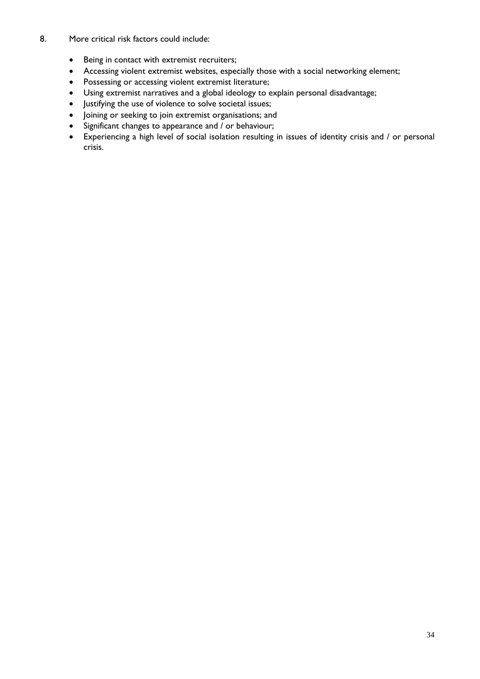#### 8. More critical risk factors could include:

- Being in contact with extremist recruiters;
- Accessing violent extremist websites, especially those with a social networking element;
- Possessing or accessing violent extremist literature;
- Using extremist narratives and a global ideology to explain personal disadvantage;
- Justifying the use of violence to solve societal issues;
- Joining or seeking to join extremist organisations; and
- Significant changes to appearance and / or behaviour;
- Experiencing a high level of social isolation resulting in issues of identity crisis and / or personal crisis.